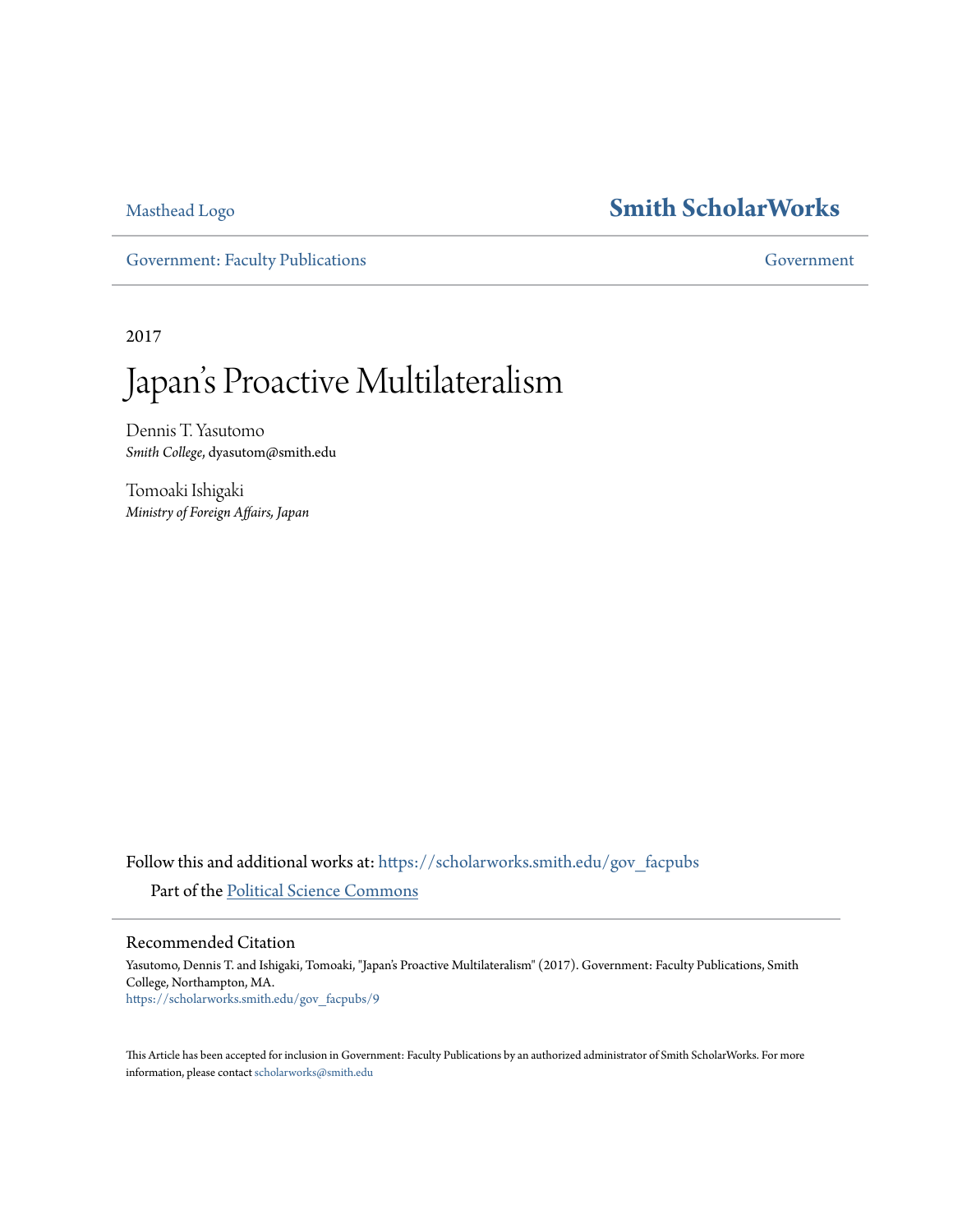# [Masthead Logo](http://www.smith.edu/?utm_source=scholarworks.smith.edu%2Fgov_facpubs%2F9&utm_medium=PDF&utm_campaign=PDFCoverPages) **[Smith ScholarWorks](https://scholarworks.smith.edu?utm_source=scholarworks.smith.edu%2Fgov_facpubs%2F9&utm_medium=PDF&utm_campaign=PDFCoverPages)**

[Government: Faculty Publications](https://scholarworks.smith.edu/gov_facpubs?utm_source=scholarworks.smith.edu%2Fgov_facpubs%2F9&utm_medium=PDF&utm_campaign=PDFCoverPages) [Government](https://scholarworks.smith.edu/gov?utm_source=scholarworks.smith.edu%2Fgov_facpubs%2F9&utm_medium=PDF&utm_campaign=PDFCoverPages) Government

2017

# Japan 's Proactive Multilateralism

Dennis T. Yasutomo *Smith College*, dyasutom@smith.edu

Tomoaki Ishigaki *Ministry of Foreign Affairs, Japan*

Follow this and additional works at: [https://scholarworks.smith.edu/gov\\_facpubs](https://scholarworks.smith.edu/gov_facpubs?utm_source=scholarworks.smith.edu%2Fgov_facpubs%2F9&utm_medium=PDF&utm_campaign=PDFCoverPages) Part of the [Political Science Commons](http://network.bepress.com/hgg/discipline/386?utm_source=scholarworks.smith.edu%2Fgov_facpubs%2F9&utm_medium=PDF&utm_campaign=PDFCoverPages)

Recommended Citation

Yasutomo, Dennis T. and Ishigaki, Tomoaki, "Japan's Proactive Multilateralism" (2017). Government: Faculty Publications, Smith College, Northampton, MA. [https://scholarworks.smith.edu/gov\\_facpubs/9](https://scholarworks.smith.edu/gov_facpubs/9?utm_source=scholarworks.smith.edu%2Fgov_facpubs%2F9&utm_medium=PDF&utm_campaign=PDFCoverPages)

This Article has been accepted for inclusion in Government: Faculty Publications by an authorized administrator of Smith ScholarWorks. For more information, please contact [scholarworks@smith.edu](mailto:scholarworks@smith.edu)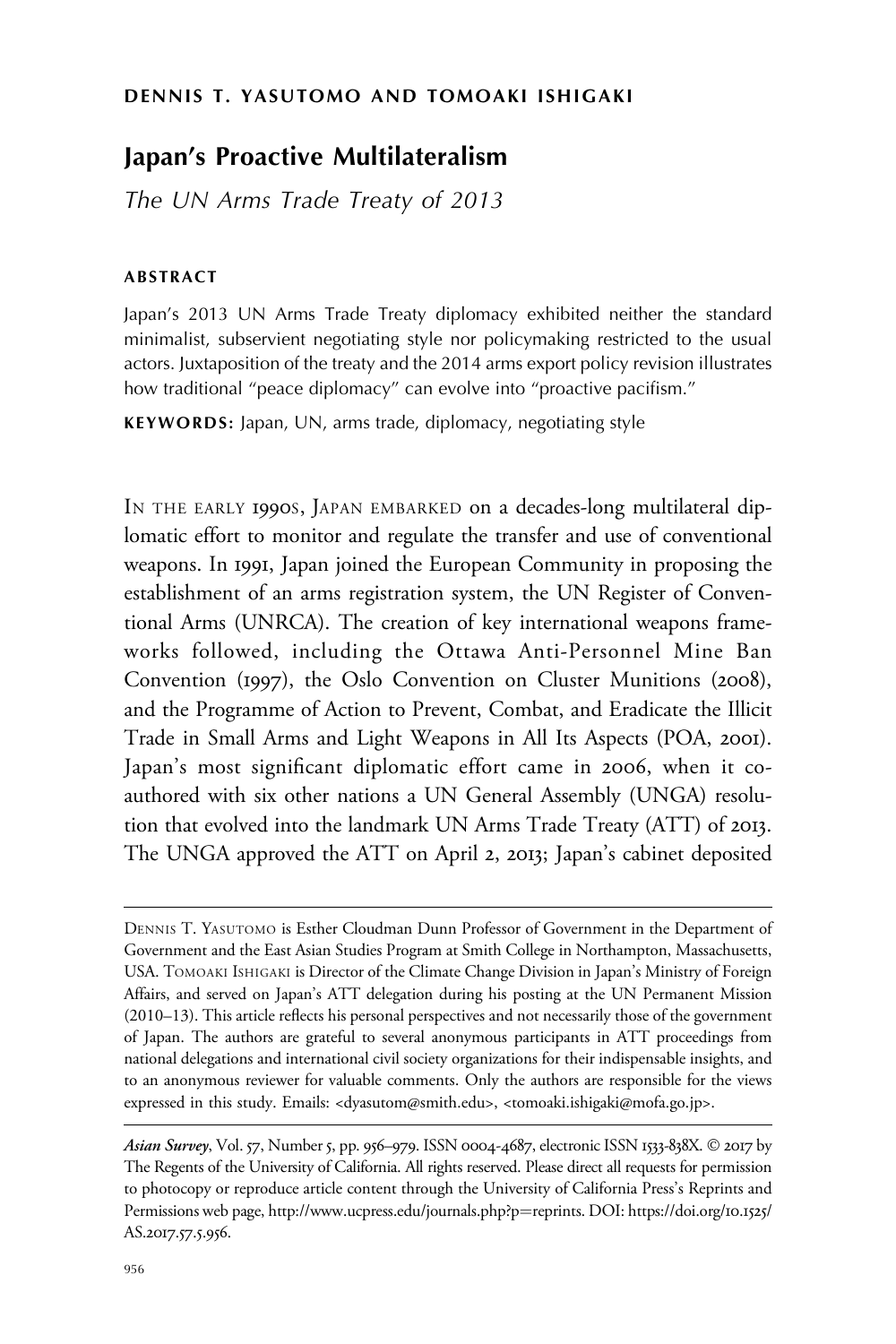# Japan's Proactive Multilateralism

The UN Arms Trade Treaty of 2013

#### ABSTRACT

Japan's 2013 UN Arms Trade Treaty diplomacy exhibited neither the standard minimalist, subservient negotiating style nor policymaking restricted to the usual actors. Juxtaposition of the treaty and the 2014 arms export policy revision illustrates how traditional "peace diplomacy" can evolve into "proactive pacifism."

KEYWORDS: Japan, UN, arms trade, diplomacy, negotiating style

IN THE EARLY 1990S, JAPAN EMBARKED on a decades-long multilateral diplomatic effort to monitor and regulate the transfer and use of conventional weapons. In 1991, Japan joined the European Community in proposing the establishment of an arms registration system, the UN Register of Conventional Arms (UNRCA). The creation of key international weapons frameworks followed, including the Ottawa Anti-Personnel Mine Ban Convention (1997), the Oslo Convention on Cluster Munitions (2008), and the Programme of Action to Prevent, Combat, and Eradicate the Illicit Trade in Small Arms and Light Weapons in All Its Aspects (POA, 2001). Japan's most significant diplomatic effort came in 2006, when it coauthored with six other nations a UN General Assembly (UNGA) resolution that evolved into the landmark UN Arms Trade Treaty (ATT) of 2013. The UNGA approved the ATT on April 2, 2013; Japan's cabinet deposited

DENNIS T. YASUTOMO is Esther Cloudman Dunn Professor of Government in the Department of Government and the East Asian Studies Program at Smith College in Northampton, Massachusetts, USA. TOMOAKI ISHIGAKI is Director of the Climate Change Division in Japan's Ministry of Foreign Affairs, and served on Japan's ATT delegation during his posting at the UN Permanent Mission (2010–13). This article reflects his personal perspectives and not necessarily those of the government of Japan. The authors are grateful to several anonymous participants in ATT proceedings from national delegations and international civil society organizations for their indispensable insights, and to an anonymous reviewer for valuable comments. Only the authors are responsible for the views expressed in this study. Emails: <dyasutom@smith.edu>, <tomoaki.ishigaki@mofa.go.jp>.

Asian Survey, Vol. 57, Number 5, pp. 956–979. ISSN 0004-4687, electronic ISSN 1533-838X. © 2017 by The Regents of the University of California. All rights reserved. Please direct all requests for permission to photocopy or reproduce article content through the University of California Press's Reprints and Permissions web page, [http://www.ucpress.edu/journals.php?p](http://www.ucpress.edu/journals.php?p=reprints)=[reprints](http://www.ucpress.edu/journals.php?p=reprints). [DOI: https://doi.org/](https://doi.org/10.1525/AS.2017.57.5.956)10.1525/ [AS.](https://doi.org/10.1525/AS.2017.57.5.956)2017.57.5.956.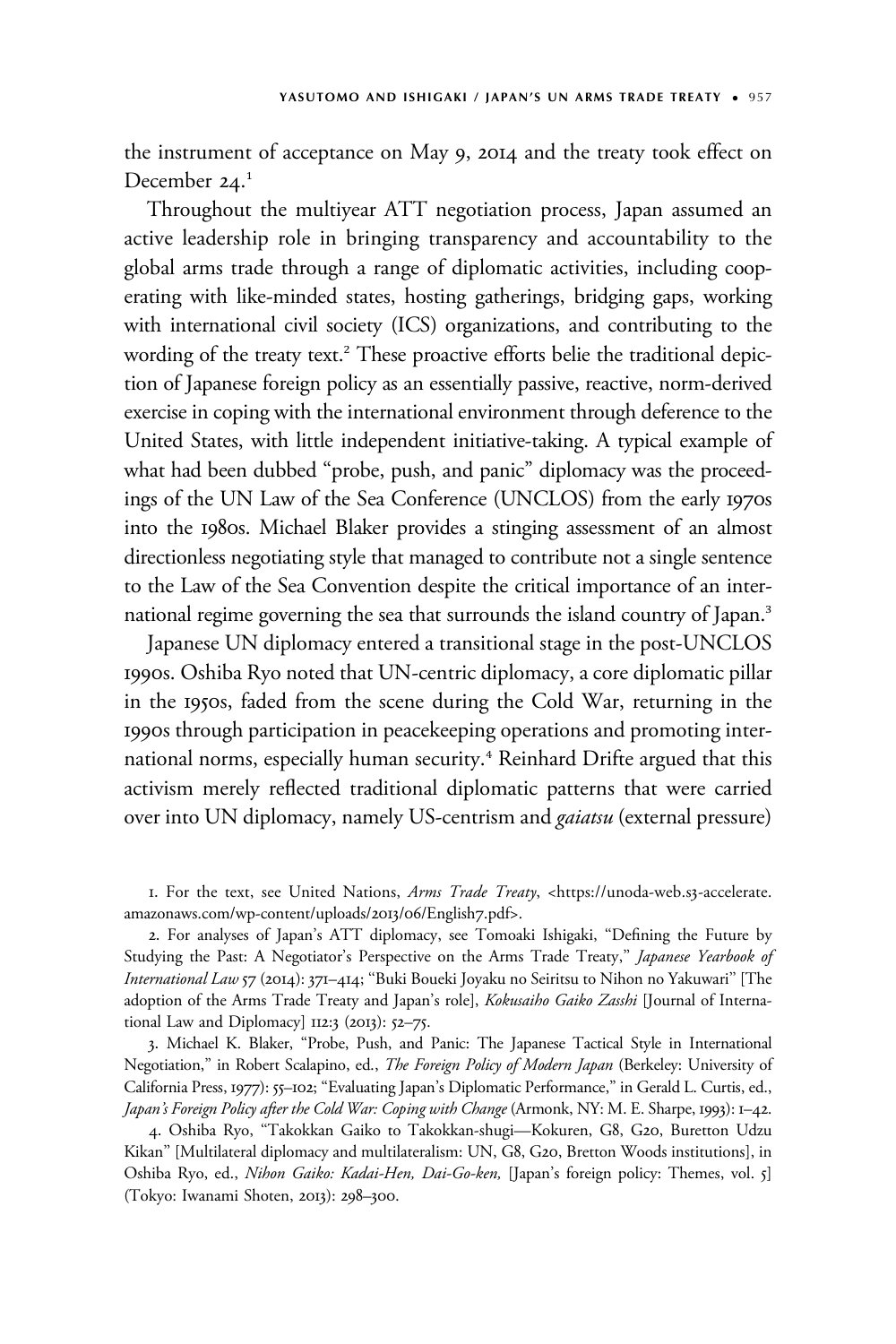the instrument of acceptance on May 9, 2014 and the treaty took effect on December 24. 1

Throughout the multiyear ATT negotiation process, Japan assumed an active leadership role in bringing transparency and accountability to the global arms trade through a range of diplomatic activities, including cooperating with like-minded states, hosting gatherings, bridging gaps, working with international civil society (ICS) organizations, and contributing to the wording of the treaty text.<sup>2</sup> These proactive efforts belie the traditional depiction of Japanese foreign policy as an essentially passive, reactive, norm-derived exercise in coping with the international environment through deference to the United States, with little independent initiative-taking. A typical example of what had been dubbed "probe, push, and panic" diplomacy was the proceedings of the UN Law of the Sea Conference (UNCLOS) from the early 1970s into the 1980s. Michael Blaker provides a stinging assessment of an almost directionless negotiating style that managed to contribute not a single sentence to the Law of the Sea Convention despite the critical importance of an international regime governing the sea that surrounds the island country of Japan.<sup>3</sup>

Japanese UN diplomacy entered a transitional stage in the post-UNCLOS 1990s. Oshiba Ryo noted that UN-centric diplomacy, a core diplomatic pillar in the 1950s, faded from the scene during the Cold War, returning in the 1990s through participation in peacekeeping operations and promoting international norms, especially human security.<sup>4</sup> Reinhard Drifte argued that this activism merely reflected traditional diplomatic patterns that were carried over into UN diplomacy, namely US-centrism and *gaiatsu* (external pressure)

1. For the text, see United Nations, Arms Trade Treaty, [<https://unoda-web.s](https://unoda-web.s3-accelerate.amazonaws.com/wp-content/uploads/2013/06/English7.pdf)3-accelerate. [amazonaws.com/wp-content/uploads/](https://unoda-web.s3-accelerate.amazonaws.com/wp-content/uploads/2013/06/English7.pdf)2013/06/English7.pdf>.

2. For analyses of Japan's ATT diplomacy, see Tomoaki Ishigaki, ''Defining the Future by Studying the Past: A Negotiator's Perspective on the Arms Trade Treaty," Japanese Yearbook of International Law 57 (2014): 371–414; ''Buki Boueki Joyaku no Seiritsu to Nihon no Yakuwari'' [The adoption of the Arms Trade Treaty and Japan's role], Kokusaiho Gaiko Zasshi [Journal of International Law and Diplomacy] 112:3 (2013): 52–75.

3. Michael K. Blaker, ''Probe, Push, and Panic: The Japanese Tactical Style in International Negotiation," in Robert Scalapino, ed., The Foreign Policy of Modern Japan (Berkeley: University of California Press, 1977): 55–102; ''Evaluating Japan's Diplomatic Performance,'' in Gerald L. Curtis, ed., Japan's Foreign Policy after the Cold War: Coping with Change (Armonk, NY: M. E. Sharpe, 1993): 1–42.

4. Oshiba Ryo, ''Takokkan Gaiko to Takokkan-shugi—Kokuren, G8, G20, Buretton Udzu Kikan'' [Multilateral diplomacy and multilateralism: UN, G8, G20, Bretton Woods institutions], in Oshiba Ryo, ed., Nihon Gaiko: Kadai-Hen, Dai-Go-ken, [Japan's foreign policy: Themes, vol. 5] (Tokyo: Iwanami Shoten, 2013): 298–300.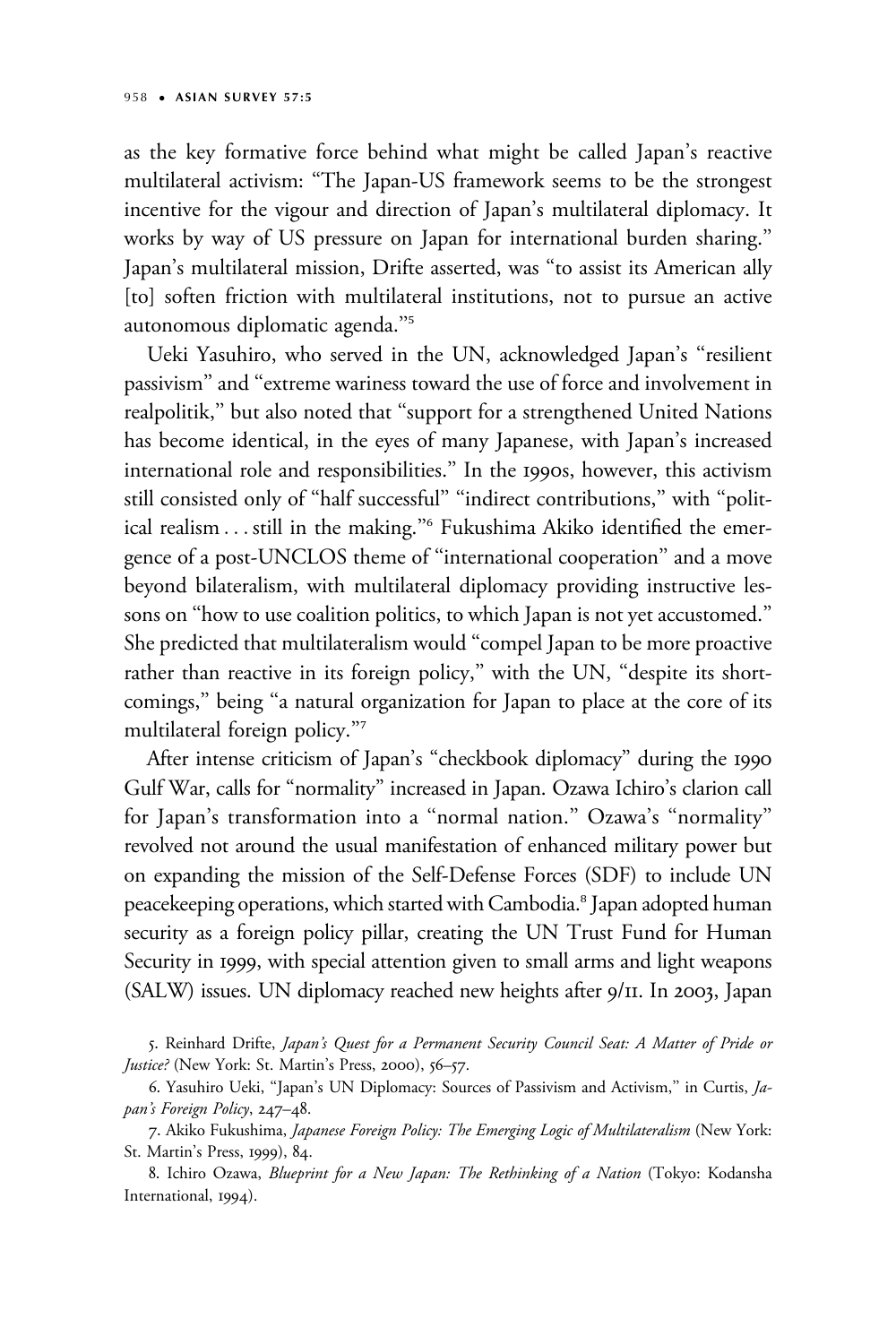as the key formative force behind what might be called Japan's reactive multilateral activism: ''The Japan-US framework seems to be the strongest incentive for the vigour and direction of Japan's multilateral diplomacy. It works by way of US pressure on Japan for international burden sharing.'' Japan's multilateral mission, Drifte asserted, was ''to assist its American ally [to] soften friction with multilateral institutions, not to pursue an active autonomous diplomatic agenda.''<sup>5</sup>

Ueki Yasuhiro, who served in the UN, acknowledged Japan's ''resilient passivism'' and ''extreme wariness toward the use of force and involvement in realpolitik,'' but also noted that ''support for a strengthened United Nations has become identical, in the eyes of many Japanese, with Japan's increased international role and responsibilities.'' In the 1990s, however, this activism still consisted only of ''half successful'' ''indirect contributions,'' with ''political realism ... still in the making.''<sup>6</sup> Fukushima Akiko identified the emergence of a post-UNCLOS theme of ''international cooperation'' and a move beyond bilateralism, with multilateral diplomacy providing instructive lessons on ''how to use coalition politics, to which Japan is not yet accustomed.'' She predicted that multilateralism would ''compel Japan to be more proactive rather than reactive in its foreign policy," with the UN, "despite its shortcomings,'' being ''a natural organization for Japan to place at the core of its multilateral foreign policy.''<sup>7</sup>

After intense criticism of Japan's ''checkbook diplomacy'' during the 1990 Gulf War, calls for ''normality'' increased in Japan. Ozawa Ichiro's clarion call for Japan's transformation into a ''normal nation.'' Ozawa's ''normality'' revolved not around the usual manifestation of enhanced military power but on expanding the mission of the Self-Defense Forces (SDF) to include UN peacekeeping operations, which started with Cambodia.<sup>8</sup> Japan adopted human security as a foreign policy pillar, creating the UN Trust Fund for Human Security in 1999, with special attention given to small arms and light weapons (SALW) issues. UN diplomacy reached new heights after 9/11. In 2003, Japan

5. Reinhard Drifte, Japan's Quest for a Permanent Security Council Seat: A Matter of Pride or Justice? (New York: St. Martin's Press, 2000), 56–57.

8. Ichiro Ozawa, Blueprint for a New Japan: The Rethinking of a Nation (Tokyo: Kodansha International, 1994).

<sup>6.</sup> Yasuhiro Ueki, ''Japan's UN Diplomacy: Sources of Passivism and Activism,'' in Curtis, Japan's Foreign Policy, 247–48.

<sup>7.</sup> Akiko Fukushima, Japanese Foreign Policy: The Emerging Logic of Multilateralism (New York: St. Martin's Press, 1999), 84.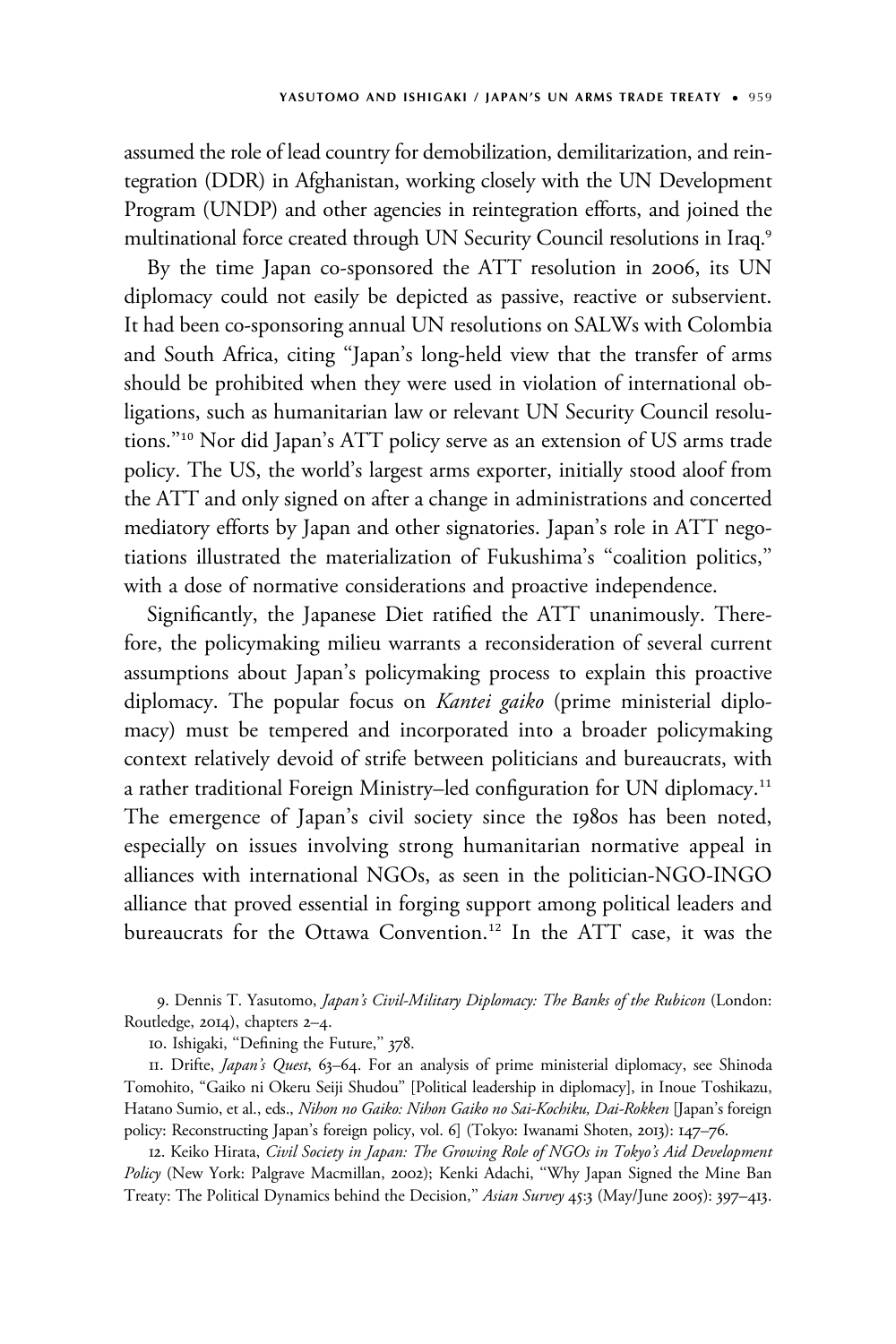assumed the role of lead country for demobilization, demilitarization, and reintegration (DDR) in Afghanistan, working closely with the UN Development Program (UNDP) and other agencies in reintegration efforts, and joined the multinational force created through UN Security Council resolutions in Iraq.<sup>9</sup>

By the time Japan co-sponsored the ATT resolution in 2006, its UN diplomacy could not easily be depicted as passive, reactive or subservient. It had been co-sponsoring annual UN resolutions on SALWs with Colombia and South Africa, citing ''Japan's long-held view that the transfer of arms should be prohibited when they were used in violation of international obligations, such as humanitarian law or relevant UN Security Council resolutions.''<sup>10</sup> Nor did Japan's ATT policy serve as an extension of US arms trade policy. The US, the world's largest arms exporter, initially stood aloof from the ATT and only signed on after a change in administrations and concerted mediatory efforts by Japan and other signatories. Japan's role in ATT negotiations illustrated the materialization of Fukushima's ''coalition politics,'' with a dose of normative considerations and proactive independence.

Significantly, the Japanese Diet ratified the ATT unanimously. Therefore, the policymaking milieu warrants a reconsideration of several current assumptions about Japan's policymaking process to explain this proactive diplomacy. The popular focus on Kantei gaiko (prime ministerial diplomacy) must be tempered and incorporated into a broader policymaking context relatively devoid of strife between politicians and bureaucrats, with a rather traditional Foreign Ministry-led configuration for UN diplomacy.<sup>11</sup> The emergence of Japan's civil society since the 1980s has been noted, especially on issues involving strong humanitarian normative appeal in alliances with international NGOs, as seen in the politician-NGO-INGO alliance that proved essential in forging support among political leaders and bureaucrats for the Ottawa Convention.<sup>12</sup> In the ATT case, it was the

9. Dennis T. Yasutomo, Japan's Civil-Military Diplomacy: The Banks of the Rubicon (London: Routledge, 2014), chapters 2–4.

10. Ishigaki, ''Defining the Future,'' 378.

11. Drifte, Japan's Quest, 63–64. For an analysis of prime ministerial diplomacy, see Shinoda Tomohito, "Gaiko ni Okeru Seiji Shudou" [Political leadership in diplomacy], in Inoue Toshikazu, Hatano Sumio, et al., eds., Nihon no Gaiko: Nihon Gaiko no Sai-Kochiku, Dai-Rokken [Japan's foreign policy: Reconstructing Japan's foreign policy, vol. 6] (Tokyo: Iwanami Shoten, 2013): 147–76.

12. Keiko Hirata, Civil Society in Japan: The Growing Role of NGOs in Tokyo's Aid Development Policy (New York: Palgrave Macmillan, 2002); Kenki Adachi, "Why Japan Signed the Mine Ban Treaty: The Political Dynamics behind the Decision," Asian Survey 45:3 (May/June 2005): 397-413.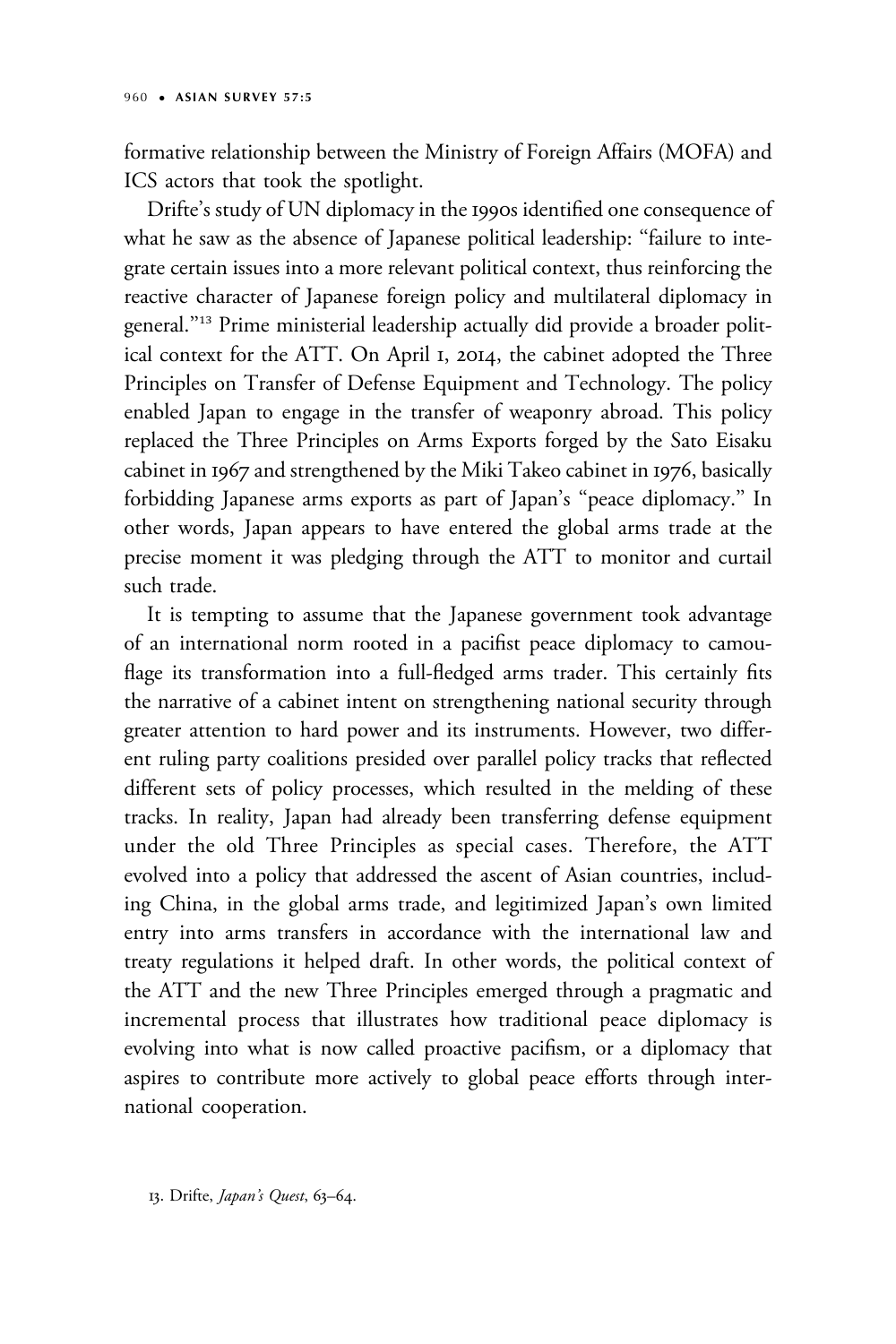formative relationship between the Ministry of Foreign Affairs (MOFA) and ICS actors that took the spotlight.

Drifte's study of UN diplomacy in the 1990s identified one consequence of what he saw as the absence of Japanese political leadership: "failure to integrate certain issues into a more relevant political context, thus reinforcing the reactive character of Japanese foreign policy and multilateral diplomacy in general.''<sup>13</sup> Prime ministerial leadership actually did provide a broader political context for the ATT. On April 1, 2014, the cabinet adopted the Three Principles on Transfer of Defense Equipment and Technology. The policy enabled Japan to engage in the transfer of weaponry abroad. This policy replaced the Three Principles on Arms Exports forged by the Sato Eisaku cabinet in 1967 and strengthened by the Miki Takeo cabinet in 1976, basically forbidding Japanese arms exports as part of Japan's ''peace diplomacy.'' In other words, Japan appears to have entered the global arms trade at the precise moment it was pledging through the ATT to monitor and curtail such trade.

It is tempting to assume that the Japanese government took advantage of an international norm rooted in a pacifist peace diplomacy to camouflage its transformation into a full-fledged arms trader. This certainly fits the narrative of a cabinet intent on strengthening national security through greater attention to hard power and its instruments. However, two different ruling party coalitions presided over parallel policy tracks that reflected different sets of policy processes, which resulted in the melding of these tracks. In reality, Japan had already been transferring defense equipment under the old Three Principles as special cases. Therefore, the ATT evolved into a policy that addressed the ascent of Asian countries, including China, in the global arms trade, and legitimized Japan's own limited entry into arms transfers in accordance with the international law and treaty regulations it helped draft. In other words, the political context of the ATT and the new Three Principles emerged through a pragmatic and incremental process that illustrates how traditional peace diplomacy is evolving into what is now called proactive pacifism, or a diplomacy that aspires to contribute more actively to global peace efforts through international cooperation.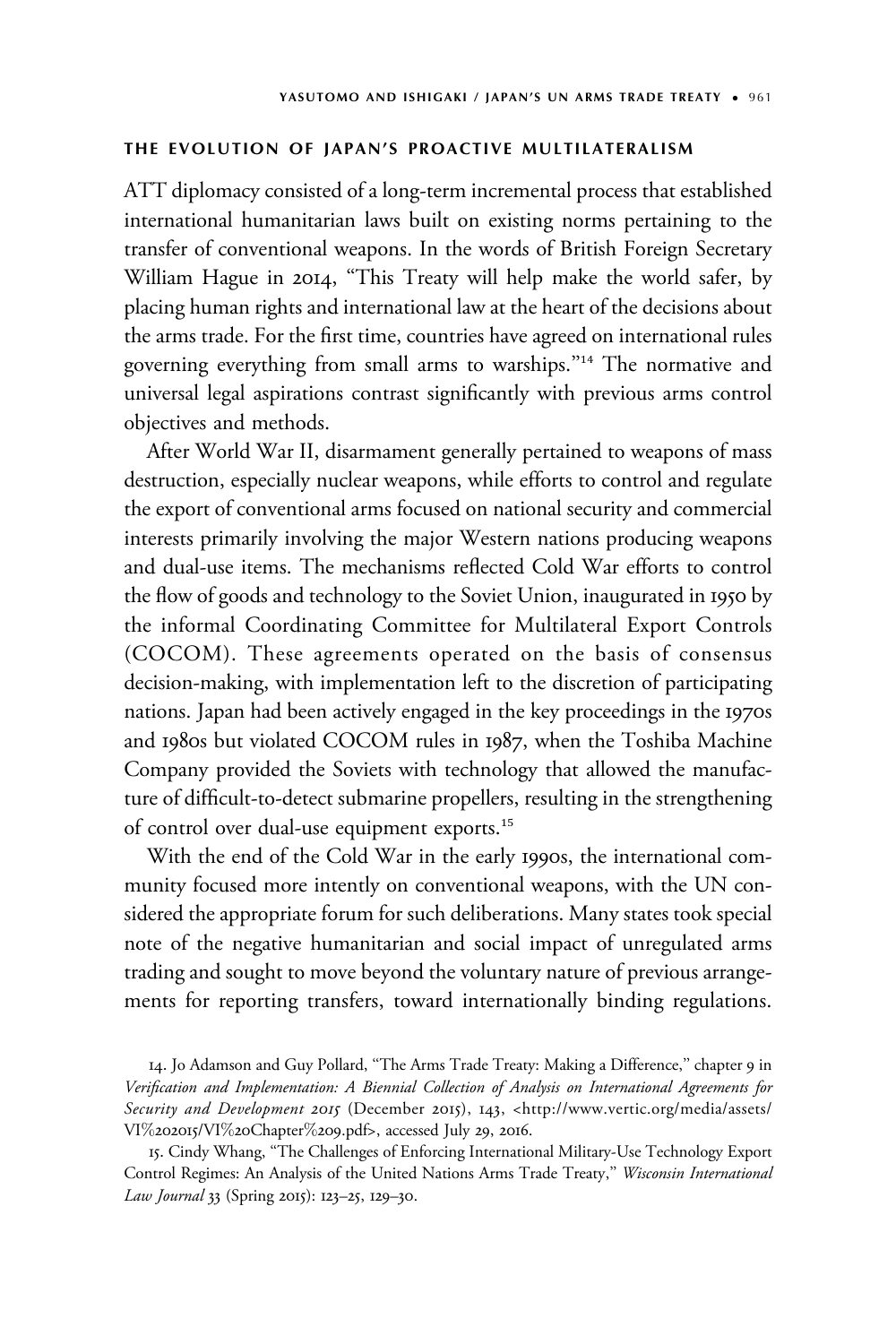#### THE EVOLUTION OF JAPAN'S PROACTIVE MULTILATERALISM

ATT diplomacy consisted of a long-term incremental process that established international humanitarian laws built on existing norms pertaining to the transfer of conventional weapons. In the words of British Foreign Secretary William Hague in 2014, "This Treaty will help make the world safer, by placing human rights and international law at the heart of the decisions about the arms trade. For the first time, countries have agreed on international rules governing everything from small arms to warships.''<sup>14</sup> The normative and universal legal aspirations contrast significantly with previous arms control objectives and methods.

After World War II, disarmament generally pertained to weapons of mass destruction, especially nuclear weapons, while efforts to control and regulate the export of conventional arms focused on national security and commercial interests primarily involving the major Western nations producing weapons and dual-use items. The mechanisms reflected Cold War efforts to control the flow of goods and technology to the Soviet Union, inaugurated in 1950 by the informal Coordinating Committee for Multilateral Export Controls (COCOM). These agreements operated on the basis of consensus decision-making, with implementation left to the discretion of participating nations. Japan had been actively engaged in the key proceedings in the 1970s and 1980s but violated COCOM rules in 1987, when the Toshiba Machine Company provided the Soviets with technology that allowed the manufacture of difficult-to-detect submarine propellers, resulting in the strengthening of control over dual-use equipment exports.<sup>15</sup>

With the end of the Cold War in the early 1990s, the international community focused more intently on conventional weapons, with the UN considered the appropriate forum for such deliberations. Many states took special note of the negative humanitarian and social impact of unregulated arms trading and sought to move beyond the voluntary nature of previous arrangements for reporting transfers, toward internationally binding regulations.

14. Jo Adamson and Guy Pollard, ''The Arms Trade Treaty: Making a Difference,'' chapter 9 in Verification and Implementation: A Biennial Collection of Analysis on International Agreements for Security and Development 2015 (December 2015), 143, <[http://www.vertic.org/media/assets/](http://www.vertic.org/media/assets/VI%202015/VI%20Chapter%209.pdf) [VI](http://www.vertic.org/media/assets/VI%202015/VI%20Chapter%209.pdf)%[202015](http://www.vertic.org/media/assets/VI%202015/VI%20Chapter%209.pdf)/VI%20[Chapter](http://www.vertic.org/media/assets/VI%202015/VI%20Chapter%209.pdf)%209[.pdf](http://www.vertic.org/media/assets/VI%202015/VI%20Chapter%209.pdf)>, accessed July 29, 2016.

15. Cindy Whang, ''The Challenges of Enforcing International Military-Use Technology Export Control Regimes: An Analysis of the United Nations Arms Trade Treaty,'' Wisconsin International Law Journal 33 (Spring 2015): 123-25, 129-30.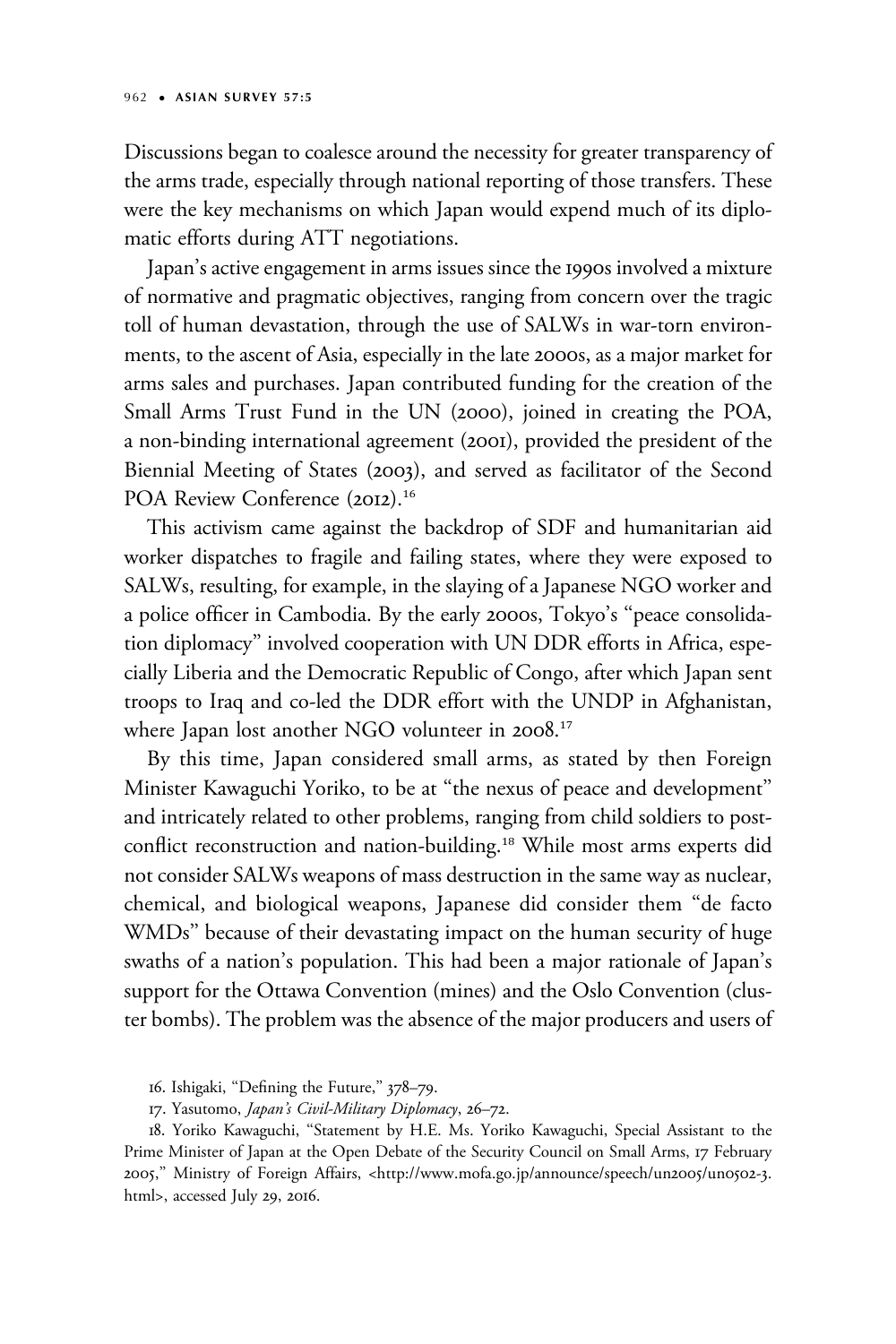Discussions began to coalesce around the necessity for greater transparency of the arms trade, especially through national reporting of those transfers. These were the key mechanisms on which Japan would expend much of its diplomatic efforts during ATT negotiations.

Japan's active engagement in arms issues since the 1990s involved a mixture of normative and pragmatic objectives, ranging from concern over the tragic toll of human devastation, through the use of SALWs in war-torn environments, to the ascent of Asia, especially in the late 2000s, as a major market for arms sales and purchases. Japan contributed funding for the creation of the Small Arms Trust Fund in the UN (2000), joined in creating the POA, a non-binding international agreement (2001), provided the president of the Biennial Meeting of States (2003), and served as facilitator of the Second POA Review Conference (2012).<sup>16</sup>

This activism came against the backdrop of SDF and humanitarian aid worker dispatches to fragile and failing states, where they were exposed to SALWs, resulting, for example, in the slaying of a Japanese NGO worker and a police officer in Cambodia. By the early 2000s, Tokyo's ''peace consolidation diplomacy'' involved cooperation with UN DDR efforts in Africa, especially Liberia and the Democratic Republic of Congo, after which Japan sent troops to Iraq and co-led the DDR effort with the UNDP in Afghanistan, where Japan lost another NGO volunteer in 2008.<sup>17</sup>

By this time, Japan considered small arms, as stated by then Foreign Minister Kawaguchi Yoriko, to be at ''the nexus of peace and development'' and intricately related to other problems, ranging from child soldiers to postconflict reconstruction and nation-building.<sup>18</sup> While most arms experts did not consider SALWs weapons of mass destruction in the same way as nuclear, chemical, and biological weapons, Japanese did consider them ''de facto WMDs'' because of their devastating impact on the human security of huge swaths of a nation's population. This had been a major rationale of Japan's support for the Ottawa Convention (mines) and the Oslo Convention (cluster bombs). The problem was the absence of the major producers and users of

<sup>16.</sup> Ishigaki, ''Defining the Future,'' 378–79.

<sup>17.</sup> Yasutomo, Japan's Civil-Military Diplomacy, 26-72.

<sup>18.</sup> Yoriko Kawaguchi, ''Statement by H.E. Ms. Yoriko Kawaguchi, Special Assistant to the Prime Minister of Japan at the Open Debate of the Security Council on Small Arms, 17 February 2005,'' Ministry of Foreign Affairs, <[http://www.mofa.go.jp/announce/speech/un](http://www.mofa.go.jp/announce/speech/un2005/un0502-3.html)2005/un0502-3. [html>](http://www.mofa.go.jp/announce/speech/un2005/un0502-3.html), accessed July 29, 2016.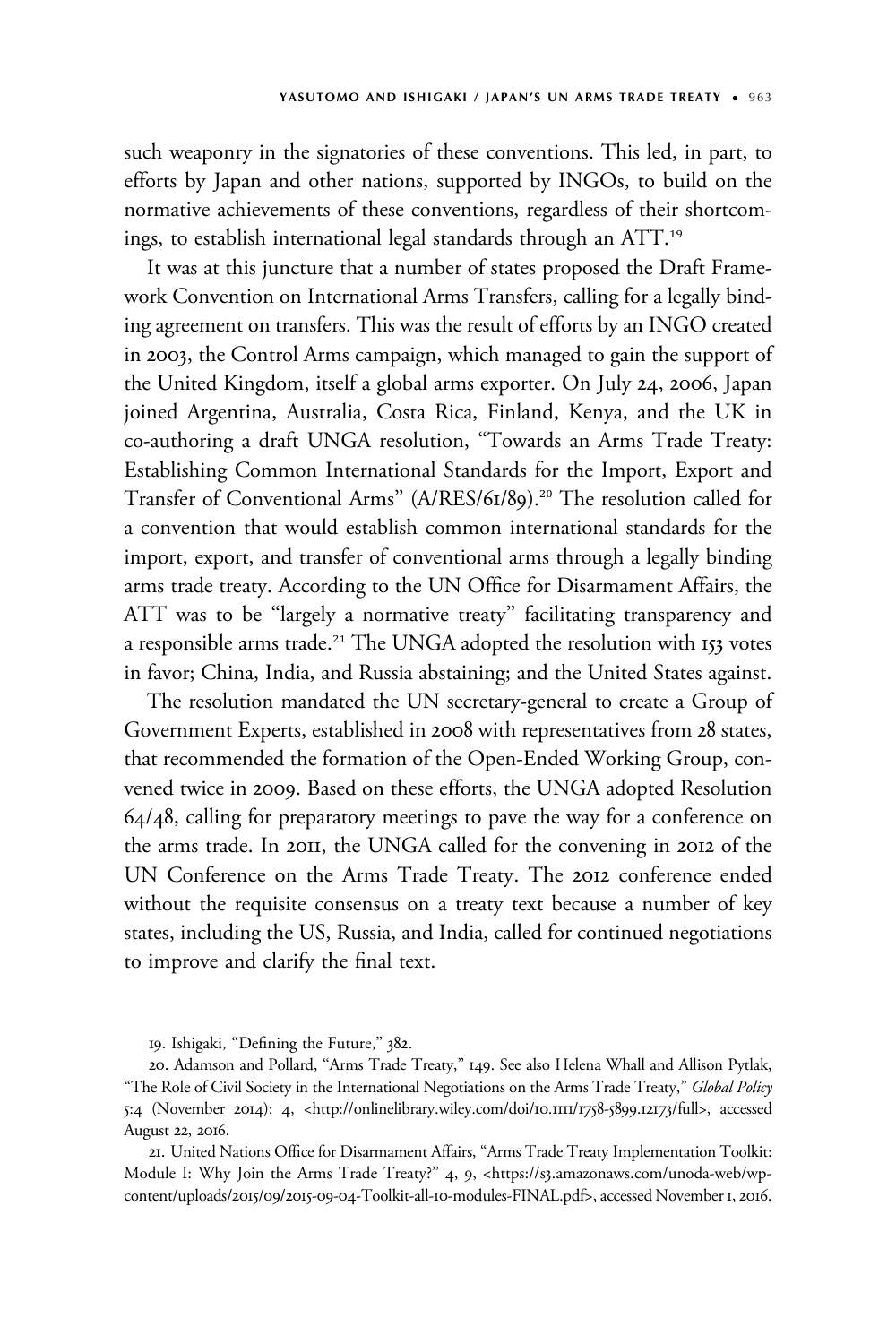such weaponry in the signatories of these conventions. This led, in part, to efforts by Japan and other nations, supported by INGOs, to build on the normative achievements of these conventions, regardless of their shortcomings, to establish international legal standards through an ATT.<sup>19</sup>

It was at this juncture that a number of states proposed the Draft Framework Convention on International Arms Transfers, calling for a legally binding agreement on transfers. This was the result of efforts by an INGO created in 2003, the Control Arms campaign, which managed to gain the support of the United Kingdom, itself a global arms exporter. On July 24, 2006, Japan joined Argentina, Australia, Costa Rica, Finland, Kenya, and the UK in co-authoring a draft UNGA resolution, ''Towards an Arms Trade Treaty: Establishing Common International Standards for the Import, Export and Transfer of Conventional Arms'' (A/RES/61/89).<sup>20</sup> The resolution called for a convention that would establish common international standards for the import, export, and transfer of conventional arms through a legally binding arms trade treaty. According to the UN Office for Disarmament Affairs, the ATT was to be "largely a normative treaty" facilitating transparency and a responsible arms trade.<sup>21</sup> The UNGA adopted the resolution with 153 votes in favor; China, India, and Russia abstaining; and the United States against.

The resolution mandated the UN secretary-general to create a Group of Government Experts, established in 2008 with representatives from 28 states, that recommended the formation of the Open-Ended Working Group, convened twice in 2009. Based on these efforts, the UNGA adopted Resolution 64/48, calling for preparatory meetings to pave the way for a conference on the arms trade. In 2011, the UNGA called for the convening in 2012 of the UN Conference on the Arms Trade Treaty. The 2012 conference ended without the requisite consensus on a treaty text because a number of key states, including the US, Russia, and India, called for continued negotiations to improve and clarify the final text.

19. Ishigaki, ''Defining the Future,'' 382.

20. Adamson and Pollard, ''Arms Trade Treaty,'' 149. See also Helena Whall and Allison Pytlak, "The Role of Civil Society in the International Negotiations on the Arms Trade Treaty," Global Policy 5:4 (November 2014): 4, [<http://onlinelibrary.wiley.com/doi/](http://onlinelibrary.wiley.com/doi/10.1111/1758-5899.12173/full)10.1111/1758-5899.12173/full>, accessed August 22, 2016.

21. United Nations Office for Disarmament Affairs, ''Arms Trade Treaty Implementation Toolkit: Module I: Why Join the Arms Trade Treaty?'' 4, 9, <https://s3[.amazonaws.com/unoda-web/wp](https://s3.amazonaws.com/unoda-web/wp-content/uploads/2015/09/2015-09-04-Toolkit-all-10-modules-FINAL.pdf)content/uploads/2015/09/2015-09-04-Toolkit-all-10[-modules-FINAL.pdf>](https://s3.amazonaws.com/unoda-web/wp-content/uploads/2015/09/2015-09-04-Toolkit-all-10-modules-FINAL.pdf), accessed November 1, 2016.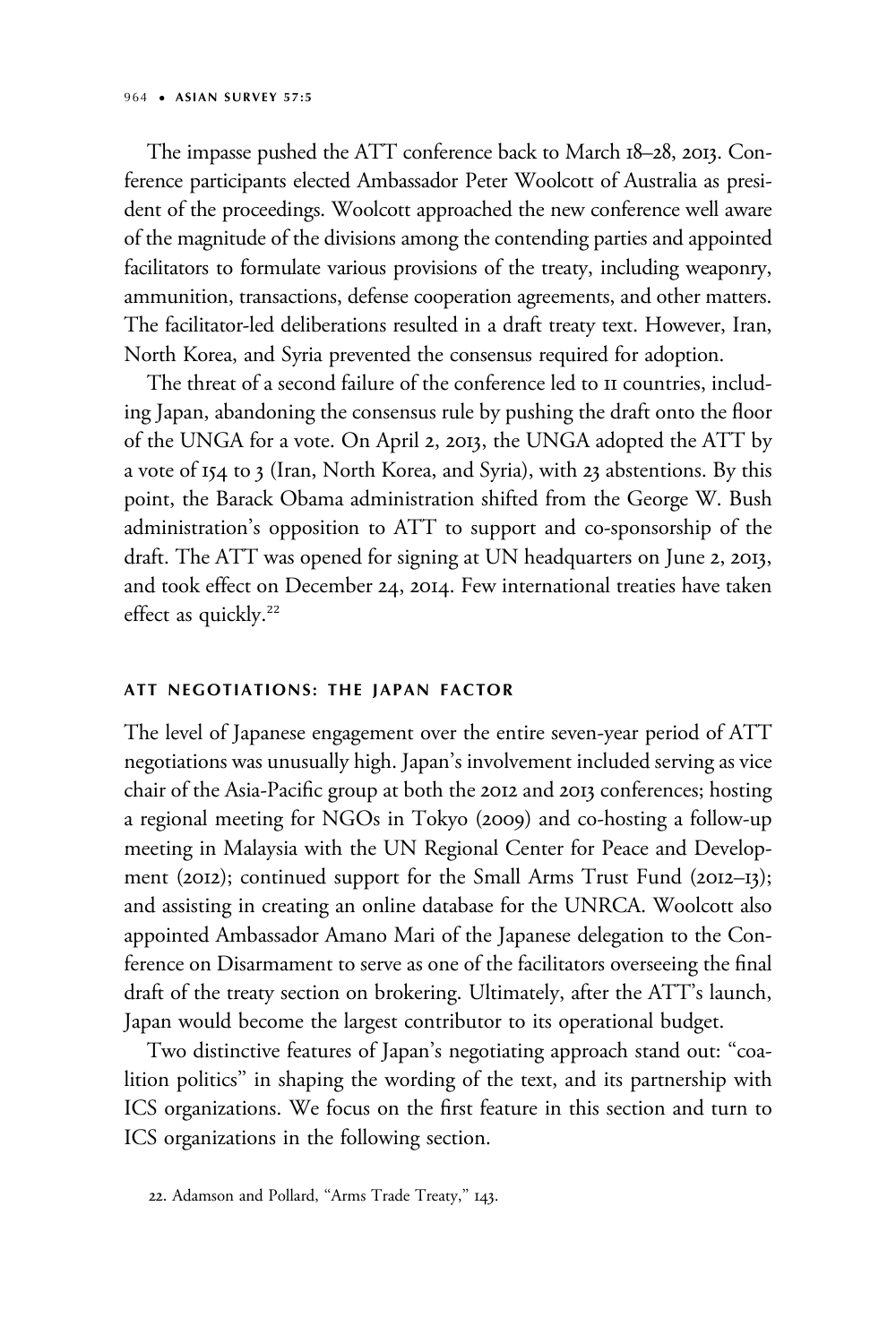The impasse pushed the ATT conference back to March 18–28, 2013. Conference participants elected Ambassador Peter Woolcott of Australia as president of the proceedings. Woolcott approached the new conference well aware of the magnitude of the divisions among the contending parties and appointed facilitators to formulate various provisions of the treaty, including weaponry, ammunition, transactions, defense cooperation agreements, and other matters. The facilitator-led deliberations resulted in a draft treaty text. However, Iran, North Korea, and Syria prevented the consensus required for adoption.

The threat of a second failure of the conference led to 11 countries, including Japan, abandoning the consensus rule by pushing the draft onto the floor of the UNGA for a vote. On April 2, 2013, the UNGA adopted the ATT by a vote of 154 to 3 (Iran, North Korea, and Syria), with 23 abstentions. By this point, the Barack Obama administration shifted from the George W. Bush administration's opposition to ATT to support and co-sponsorship of the draft. The ATT was opened for signing at UN headquarters on June 2, 2013, and took effect on December 24, 2014. Few international treaties have taken effect as quickly.<sup>22</sup>

#### ATT NEGOTIATIONS: THE JAPAN FACTOR

The level of Japanese engagement over the entire seven-year period of ATT negotiations was unusually high. Japan's involvement included serving as vice chair of the Asia-Pacific group at both the 2012 and 2013 conferences; hosting a regional meeting for NGOs in Tokyo (2009) and co-hosting a follow-up meeting in Malaysia with the UN Regional Center for Peace and Development (2012); continued support for the Small Arms Trust Fund (2012–13); and assisting in creating an online database for the UNRCA. Woolcott also appointed Ambassador Amano Mari of the Japanese delegation to the Conference on Disarmament to serve as one of the facilitators overseeing the final draft of the treaty section on brokering. Ultimately, after the ATT's launch, Japan would become the largest contributor to its operational budget.

Two distinctive features of Japan's negotiating approach stand out: ''coalition politics'' in shaping the wording of the text, and its partnership with ICS organizations. We focus on the first feature in this section and turn to ICS organizations in the following section.

<sup>22.</sup> Adamson and Pollard, ''Arms Trade Treaty,'' 143.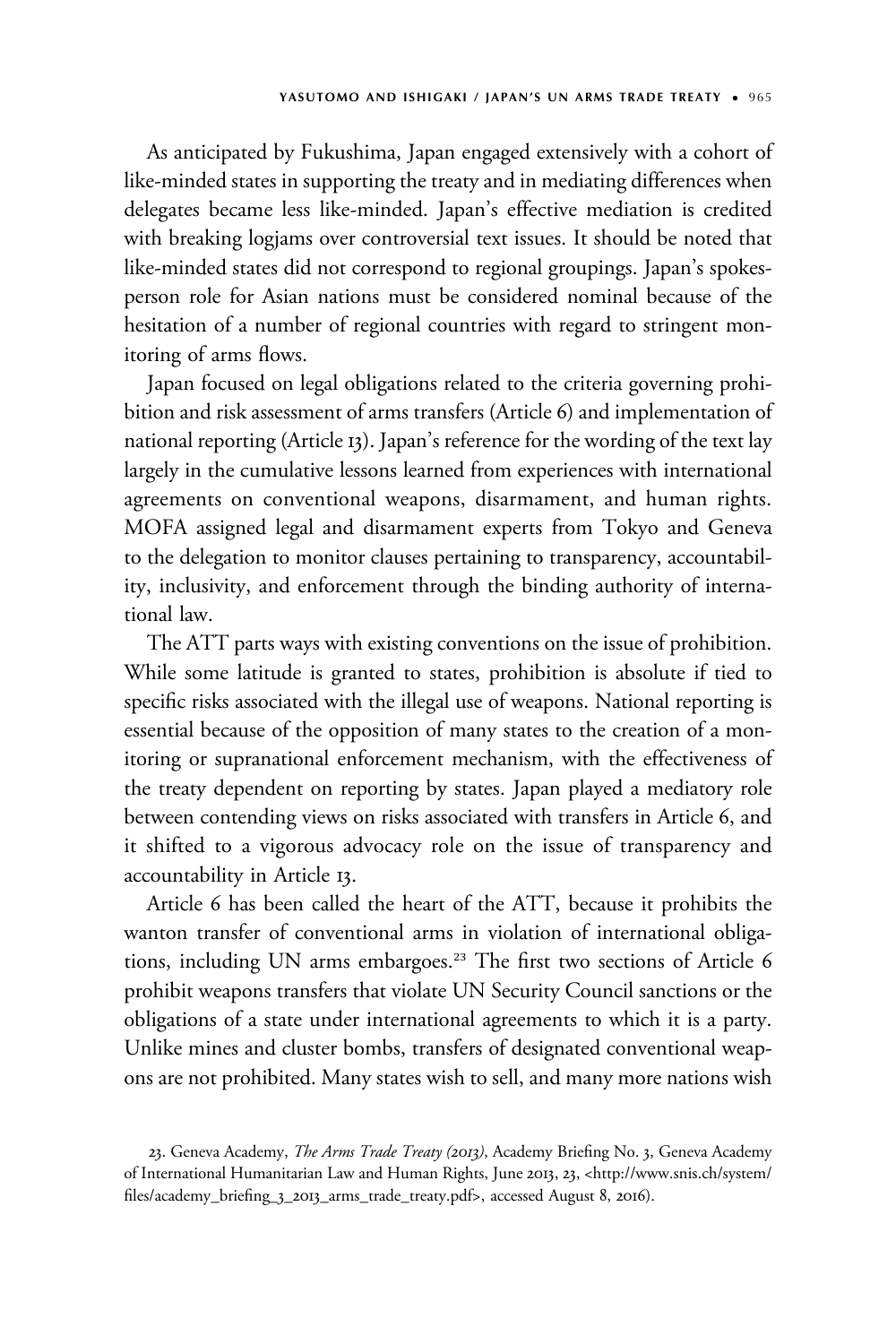As anticipated by Fukushima, Japan engaged extensively with a cohort of like-minded states in supporting the treaty and in mediating differences when delegates became less like-minded. Japan's effective mediation is credited with breaking logjams over controversial text issues. It should be noted that like-minded states did not correspond to regional groupings. Japan's spokesperson role for Asian nations must be considered nominal because of the hesitation of a number of regional countries with regard to stringent monitoring of arms flows.

Japan focused on legal obligations related to the criteria governing prohibition and risk assessment of arms transfers (Article 6) and implementation of national reporting (Article 13). Japan's reference for the wording of the text lay largely in the cumulative lessons learned from experiences with international agreements on conventional weapons, disarmament, and human rights. MOFA assigned legal and disarmament experts from Tokyo and Geneva to the delegation to monitor clauses pertaining to transparency, accountability, inclusivity, and enforcement through the binding authority of international law.

The ATT parts ways with existing conventions on the issue of prohibition. While some latitude is granted to states, prohibition is absolute if tied to specific risks associated with the illegal use of weapons. National reporting is essential because of the opposition of many states to the creation of a monitoring or supranational enforcement mechanism, with the effectiveness of the treaty dependent on reporting by states. Japan played a mediatory role between contending views on risks associated with transfers in Article 6, and it shifted to a vigorous advocacy role on the issue of transparency and accountability in Article 13.

Article 6 has been called the heart of the ATT, because it prohibits the wanton transfer of conventional arms in violation of international obligations, including UN arms embargoes.<sup>23</sup> The first two sections of Article 6 prohibit weapons transfers that violate UN Security Council sanctions or the obligations of a state under international agreements to which it is a party. Unlike mines and cluster bombs, transfers of designated conventional weapons are not prohibited. Many states wish to sell, and many more nations wish

<sup>23.</sup> Geneva Academy, The Arms Trade Treaty (2013), Academy Briefing No. 3, Geneva Academy of International Humanitarian Law and Human Rights, June 2013, 23, <[http://www.snis.ch/system/](http://www.snis.ch/system/files/academy_briefing_3_2013_arms_trade_treaty.pdf) [files/academy\\_briefing\\_](http://www.snis.ch/system/files/academy_briefing_3_2013_arms_trade_treaty.pdf)3\_2013\_arms\_trade\_treaty.pdf>, accessed August 8, 2016).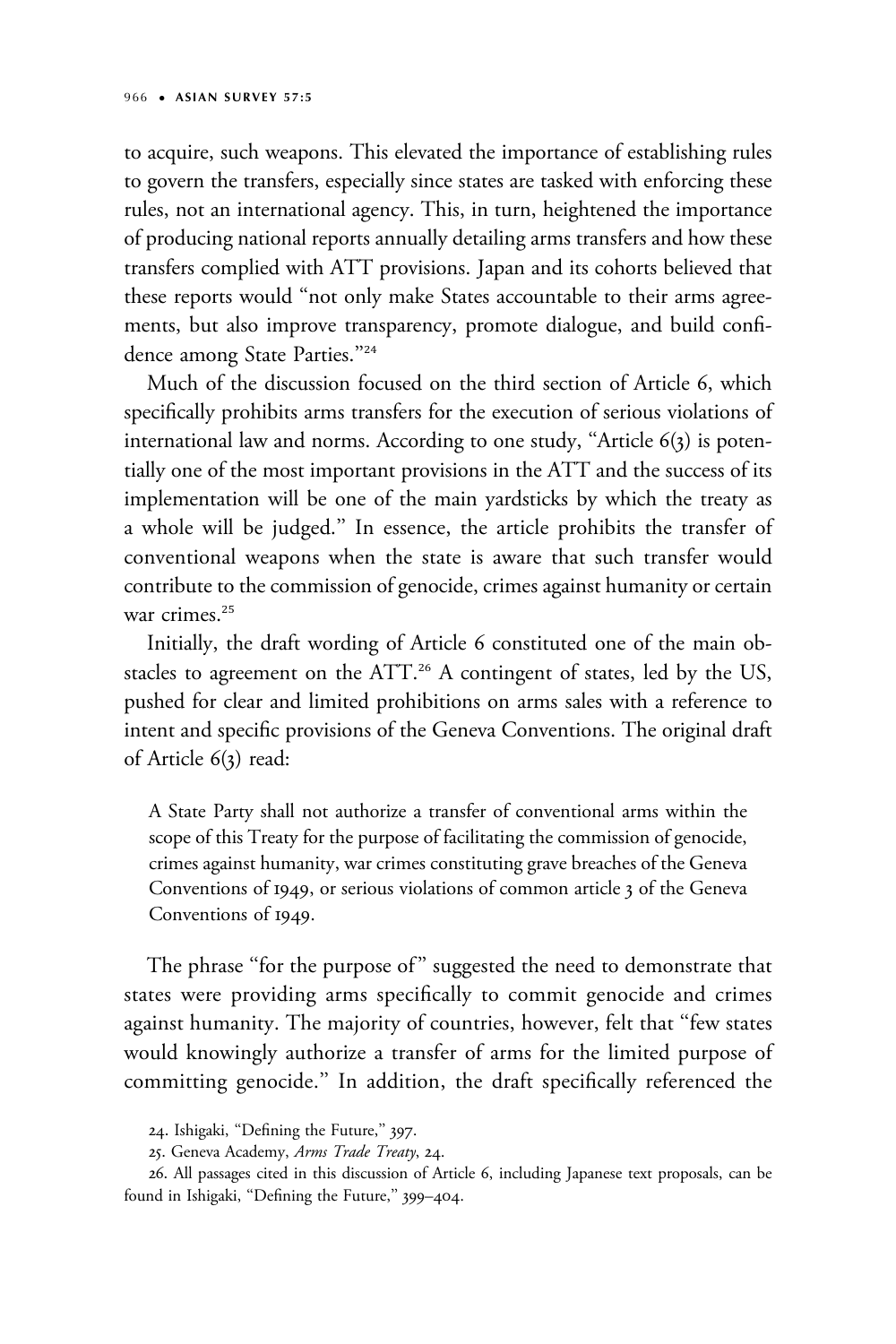to acquire, such weapons. This elevated the importance of establishing rules to govern the transfers, especially since states are tasked with enforcing these rules, not an international agency. This, in turn, heightened the importance of producing national reports annually detailing arms transfers and how these transfers complied with ATT provisions. Japan and its cohorts believed that these reports would ''not only make States accountable to their arms agreements, but also improve transparency, promote dialogue, and build confidence among State Parties."<sup>24</sup>

Much of the discussion focused on the third section of Article 6, which specifically prohibits arms transfers for the execution of serious violations of international law and norms. According to one study, "Article 6(3) is potentially one of the most important provisions in the ATT and the success of its implementation will be one of the main yardsticks by which the treaty as a whole will be judged.'' In essence, the article prohibits the transfer of conventional weapons when the state is aware that such transfer would contribute to the commission of genocide, crimes against humanity or certain war crimes.<sup>25</sup>

Initially, the draft wording of Article 6 constituted one of the main obstacles to agreement on the ATT.<sup>26</sup> A contingent of states, led by the US, pushed for clear and limited prohibitions on arms sales with a reference to intent and specific provisions of the Geneva Conventions. The original draft of Article 6(3) read:

A State Party shall not authorize a transfer of conventional arms within the scope of this Treaty for the purpose of facilitating the commission of genocide, crimes against humanity, war crimes constituting grave breaches of the Geneva Conventions of 1949, or serious violations of common article 3 of the Geneva Conventions of 1949.

The phrase "for the purpose of" suggested the need to demonstrate that states were providing arms specifically to commit genocide and crimes against humanity. The majority of countries, however, felt that ''few states would knowingly authorize a transfer of arms for the limited purpose of committing genocide.'' In addition, the draft specifically referenced the

<sup>24.</sup> Ishigaki, ''Defining the Future,'' 397.

<sup>25.</sup> Geneva Academy, Arms Trade Treaty, 24.

<sup>26.</sup> All passages cited in this discussion of Article 6, including Japanese text proposals, can be found in Ishigaki, "Defining the Future," 399-404.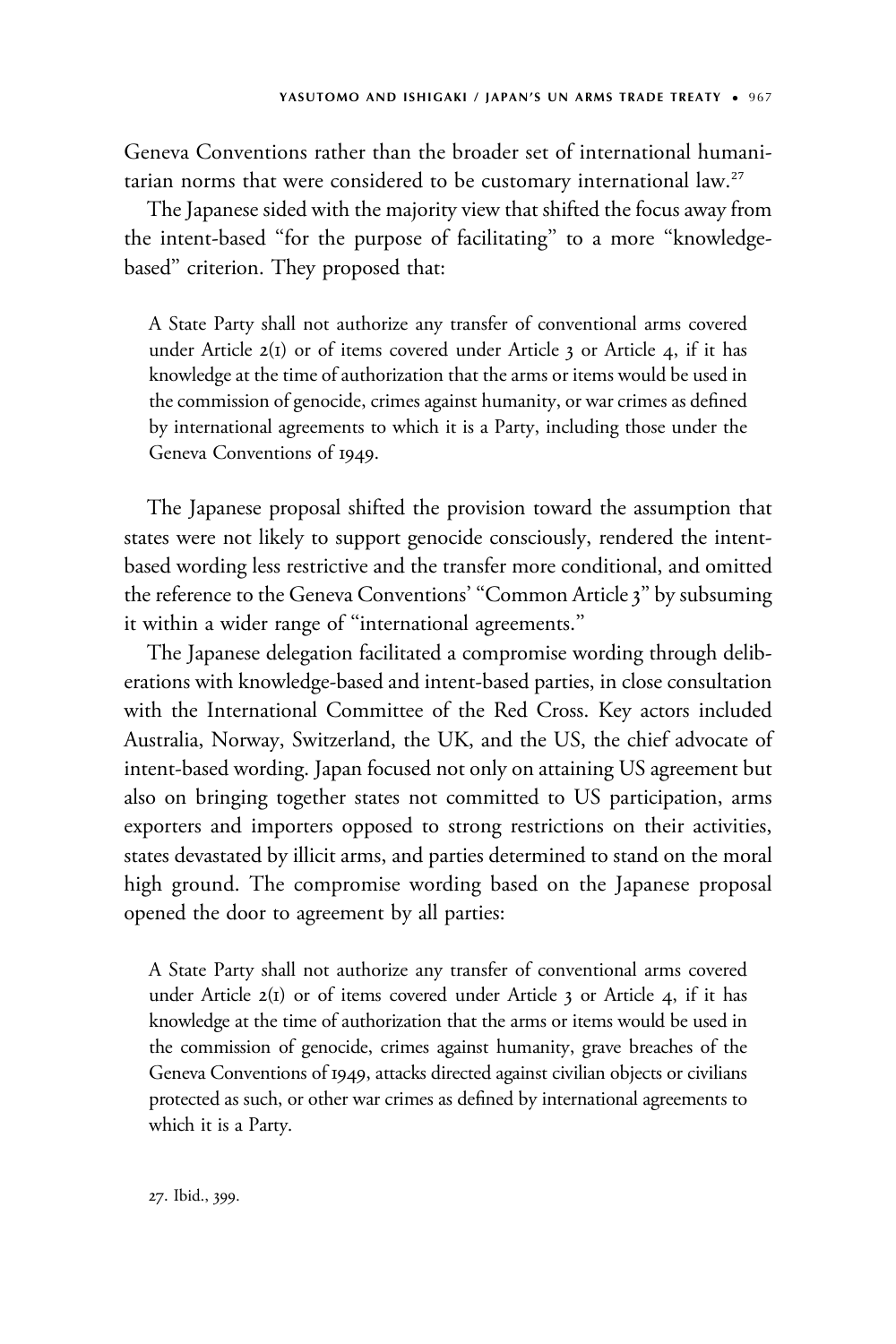Geneva Conventions rather than the broader set of international humanitarian norms that were considered to be customary international law.<sup>27</sup>

The Japanese sided with the majority view that shifted the focus away from the intent-based ''for the purpose of facilitating'' to a more ''knowledgebased'' criterion. They proposed that:

A State Party shall not authorize any transfer of conventional arms covered under Article  $2(i)$  or of items covered under Article 3 or Article 4, if it has knowledge at the time of authorization that the arms or items would be used in the commission of genocide, crimes against humanity, or war crimes as defined by international agreements to which it is a Party, including those under the Geneva Conventions of 1949.

The Japanese proposal shifted the provision toward the assumption that states were not likely to support genocide consciously, rendered the intentbased wording less restrictive and the transfer more conditional, and omitted the reference to the Geneva Conventions' ''Common Article 3'' by subsuming it within a wider range of ''international agreements.''

The Japanese delegation facilitated a compromise wording through deliberations with knowledge-based and intent-based parties, in close consultation with the International Committee of the Red Cross. Key actors included Australia, Norway, Switzerland, the UK, and the US, the chief advocate of intent-based wording. Japan focused not only on attaining US agreement but also on bringing together states not committed to US participation, arms exporters and importers opposed to strong restrictions on their activities, states devastated by illicit arms, and parties determined to stand on the moral high ground. The compromise wording based on the Japanese proposal opened the door to agreement by all parties:

A State Party shall not authorize any transfer of conventional arms covered under Article  $2(i)$  or of items covered under Article 3 or Article 4, if it has knowledge at the time of authorization that the arms or items would be used in the commission of genocide, crimes against humanity, grave breaches of the Geneva Conventions of 1949, attacks directed against civilian objects or civilians protected as such, or other war crimes as defined by international agreements to which it is a Party.

27. Ibid., 399.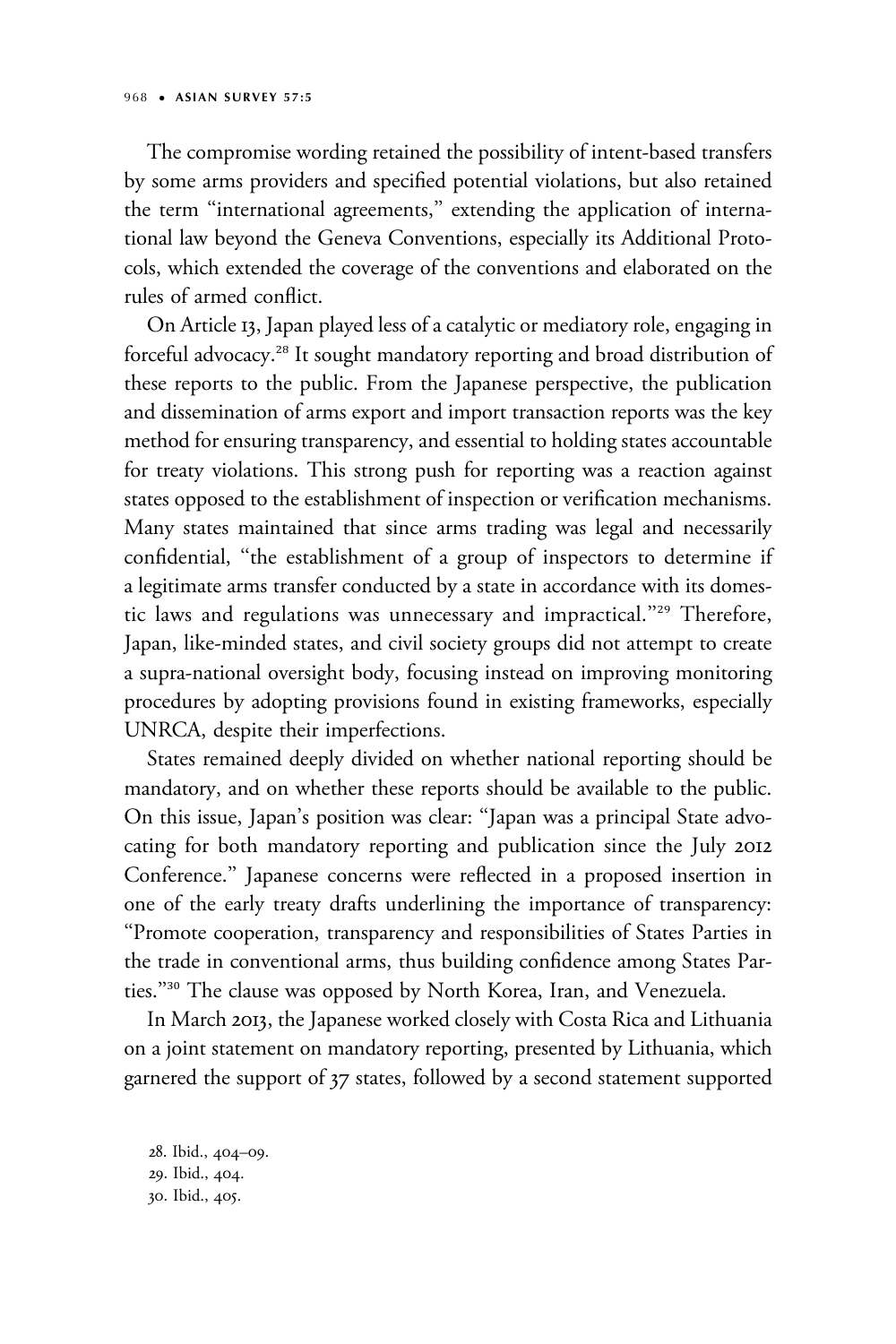The compromise wording retained the possibility of intent-based transfers by some arms providers and specified potential violations, but also retained the term ''international agreements,'' extending the application of international law beyond the Geneva Conventions, especially its Additional Protocols, which extended the coverage of the conventions and elaborated on the rules of armed conflict.

On Article 13, Japan played less of a catalytic or mediatory role, engaging in forceful advocacy.<sup>28</sup> It sought mandatory reporting and broad distribution of these reports to the public. From the Japanese perspective, the publication and dissemination of arms export and import transaction reports was the key method for ensuring transparency, and essential to holding states accountable for treaty violations. This strong push for reporting was a reaction against states opposed to the establishment of inspection or verification mechanisms. Many states maintained that since arms trading was legal and necessarily confidential, ''the establishment of a group of inspectors to determine if a legitimate arms transfer conducted by a state in accordance with its domestic laws and regulations was unnecessary and impractical.''<sup>29</sup> Therefore, Japan, like-minded states, and civil society groups did not attempt to create a supra-national oversight body, focusing instead on improving monitoring procedures by adopting provisions found in existing frameworks, especially UNRCA, despite their imperfections.

States remained deeply divided on whether national reporting should be mandatory, and on whether these reports should be available to the public. On this issue, Japan's position was clear: ''Japan was a principal State advocating for both mandatory reporting and publication since the July 2012 Conference.'' Japanese concerns were reflected in a proposed insertion in one of the early treaty drafts underlining the importance of transparency: ''Promote cooperation, transparency and responsibilities of States Parties in the trade in conventional arms, thus building confidence among States Parties.''<sup>30</sup> The clause was opposed by North Korea, Iran, and Venezuela.

In March 2013, the Japanese worked closely with Costa Rica and Lithuania on a joint statement on mandatory reporting, presented by Lithuania, which garnered the support of 37 states, followed by a second statement supported

28. Ibid., 404–09. 29. Ibid., 404. 30. Ibid., 405.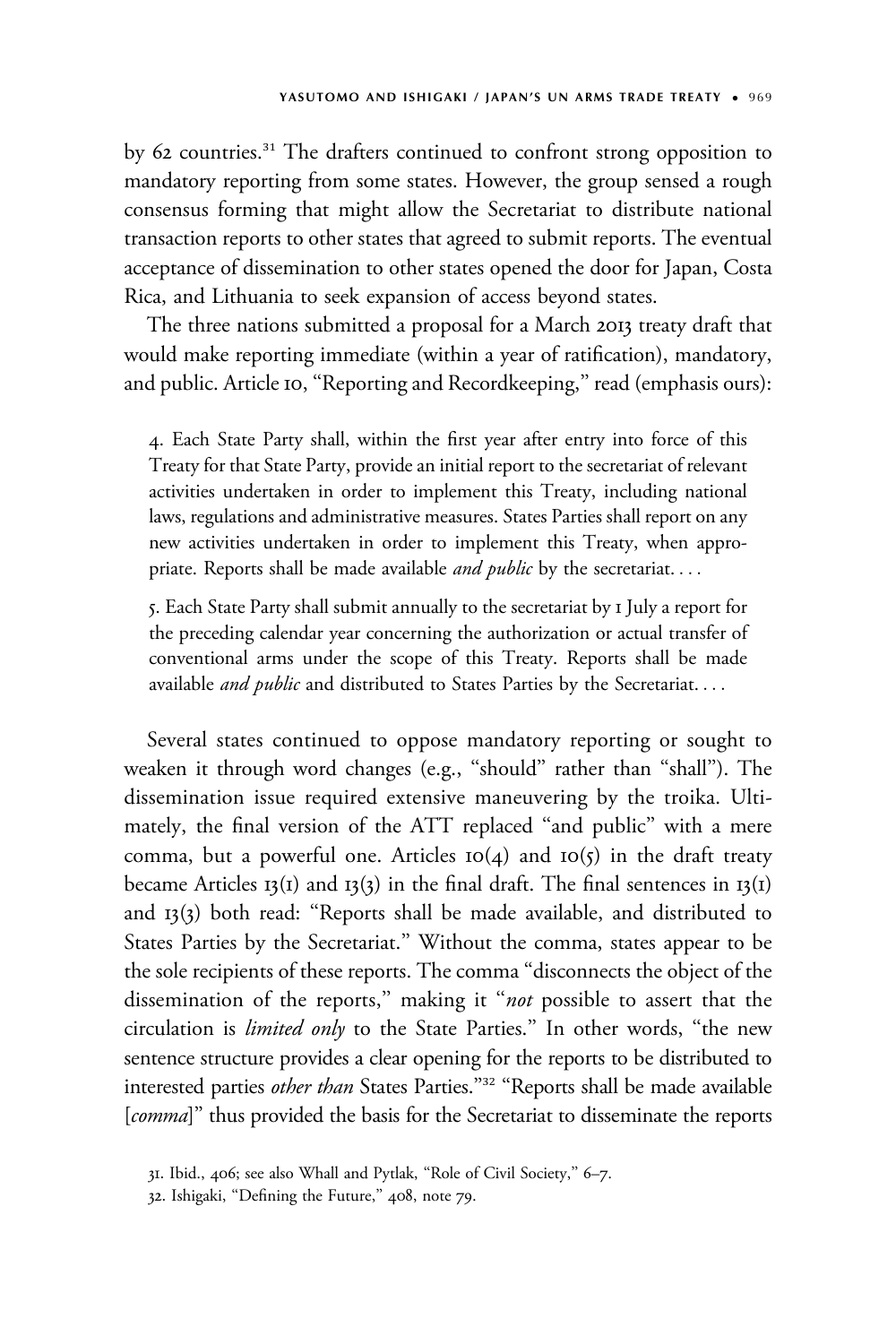by 62 countries.<sup>31</sup> The drafters continued to confront strong opposition to mandatory reporting from some states. However, the group sensed a rough consensus forming that might allow the Secretariat to distribute national transaction reports to other states that agreed to submit reports. The eventual acceptance of dissemination to other states opened the door for Japan, Costa Rica, and Lithuania to seek expansion of access beyond states.

The three nations submitted a proposal for a March 2013 treaty draft that would make reporting immediate (within a year of ratification), mandatory, and public. Article 10, ''Reporting and Recordkeeping,'' read (emphasis ours):

4. Each State Party shall, within the first year after entry into force of this Treaty for that State Party, provide an initial report to the secretariat of relevant activities undertaken in order to implement this Treaty, including national laws, regulations and administrative measures. States Parties shall report on any new activities undertaken in order to implement this Treaty, when appropriate. Reports shall be made available *and public* by the secretariat....

5. Each State Party shall submit annually to the secretariat by 1 July a report for the preceding calendar year concerning the authorization or actual transfer of conventional arms under the scope of this Treaty. Reports shall be made available *and public* and distributed to States Parties by the Secretariat....

Several states continued to oppose mandatory reporting or sought to weaken it through word changes (e.g., ''should'' rather than ''shall''). The dissemination issue required extensive maneuvering by the troika. Ultimately, the final version of the ATT replaced ''and public'' with a mere comma, but a powerful one. Articles  $10(4)$  and  $10(5)$  in the draft treaty became Articles 13(1) and 13(3) in the final draft. The final sentences in 13(1) and 13(3) both read: ''Reports shall be made available, and distributed to States Parties by the Secretariat.'' Without the comma, states appear to be the sole recipients of these reports. The comma ''disconnects the object of the dissemination of the reports," making it "not possible to assert that the circulation is limited only to the State Parties.'' In other words, ''the new sentence structure provides a clear opening for the reports to be distributed to interested parties other than States Parties."<sup>32</sup> "Reports shall be made available [comma]" thus provided the basis for the Secretariat to disseminate the reports

<sup>31.</sup> Ibid., 406; see also Whall and Pytlak, ''Role of Civil Society,'' 6–7.

<sup>32.</sup> Ishigaki, ''Defining the Future,'' 408, note 79.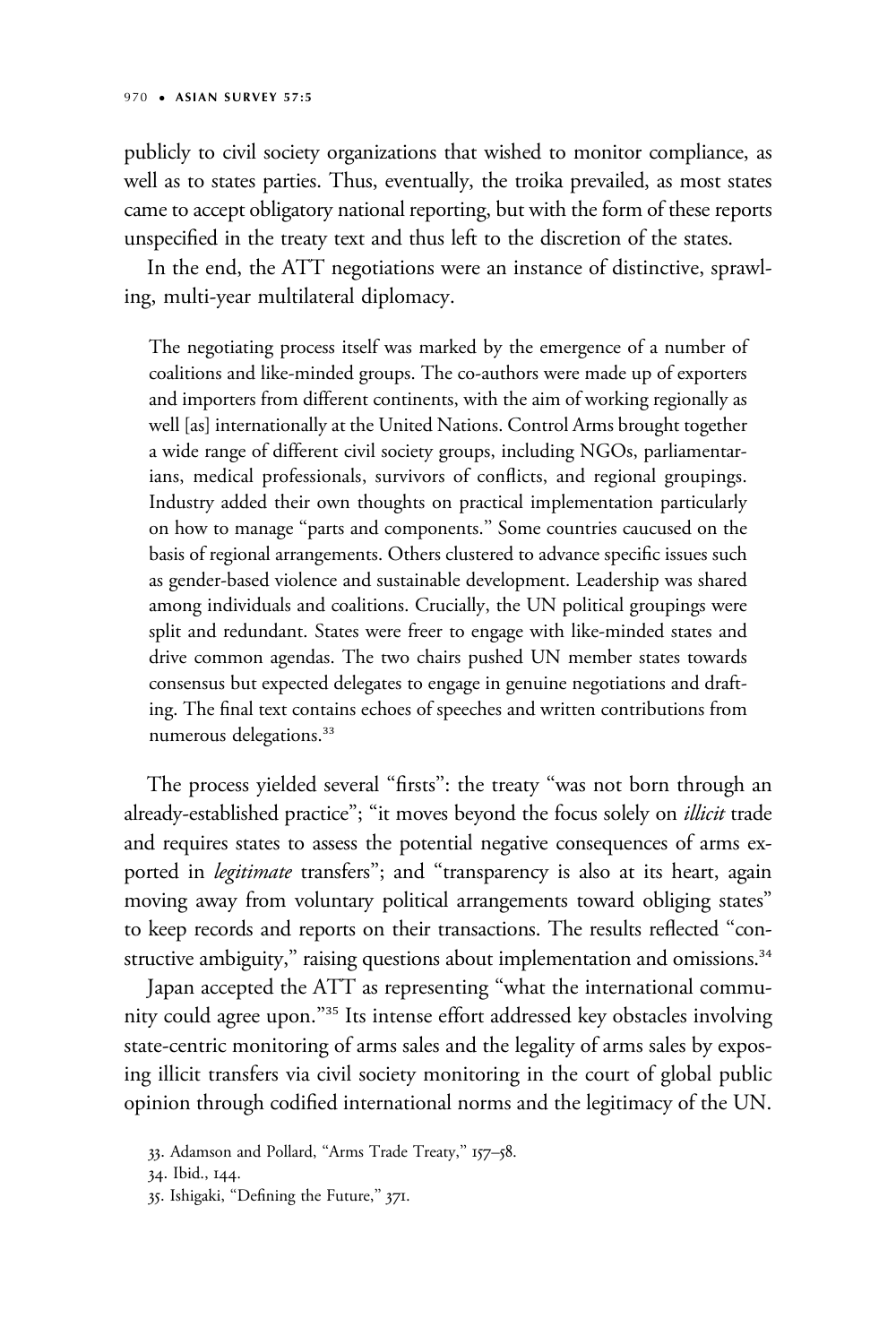publicly to civil society organizations that wished to monitor compliance, as well as to states parties. Thus, eventually, the troika prevailed, as most states came to accept obligatory national reporting, but with the form of these reports unspecified in the treaty text and thus left to the discretion of the states.

In the end, the ATT negotiations were an instance of distinctive, sprawling, multi-year multilateral diplomacy.

The negotiating process itself was marked by the emergence of a number of coalitions and like-minded groups. The co-authors were made up of exporters and importers from different continents, with the aim of working regionally as well [as] internationally at the United Nations. Control Arms brought together a wide range of different civil society groups, including NGOs, parliamentarians, medical professionals, survivors of conflicts, and regional groupings. Industry added their own thoughts on practical implementation particularly on how to manage ''parts and components.'' Some countries caucused on the basis of regional arrangements. Others clustered to advance specific issues such as gender-based violence and sustainable development. Leadership was shared among individuals and coalitions. Crucially, the UN political groupings were split and redundant. States were freer to engage with like-minded states and drive common agendas. The two chairs pushed UN member states towards consensus but expected delegates to engage in genuine negotiations and drafting. The final text contains echoes of speeches and written contributions from numerous delegations.<sup>33</sup>

The process yielded several "firsts": the treaty "was not born through an already-established practice"; "it moves beyond the focus solely on *illicit* trade and requires states to assess the potential negative consequences of arms exported in *legitimate* transfers"; and "transparency is also at its heart, again moving away from voluntary political arrangements toward obliging states'' to keep records and reports on their transactions. The results reflected ''constructive ambiguity," raising questions about implementation and omissions.<sup>34</sup>

Japan accepted the ATT as representing ''what the international community could agree upon.''<sup>35</sup> Its intense effort addressed key obstacles involving state-centric monitoring of arms sales and the legality of arms sales by exposing illicit transfers via civil society monitoring in the court of global public opinion through codified international norms and the legitimacy of the UN.

<sup>33.</sup> Adamson and Pollard, ''Arms Trade Treaty,'' 157–58.

<sup>34.</sup> Ibid., 144.

<sup>35.</sup> Ishigaki, ''Defining the Future,'' 371.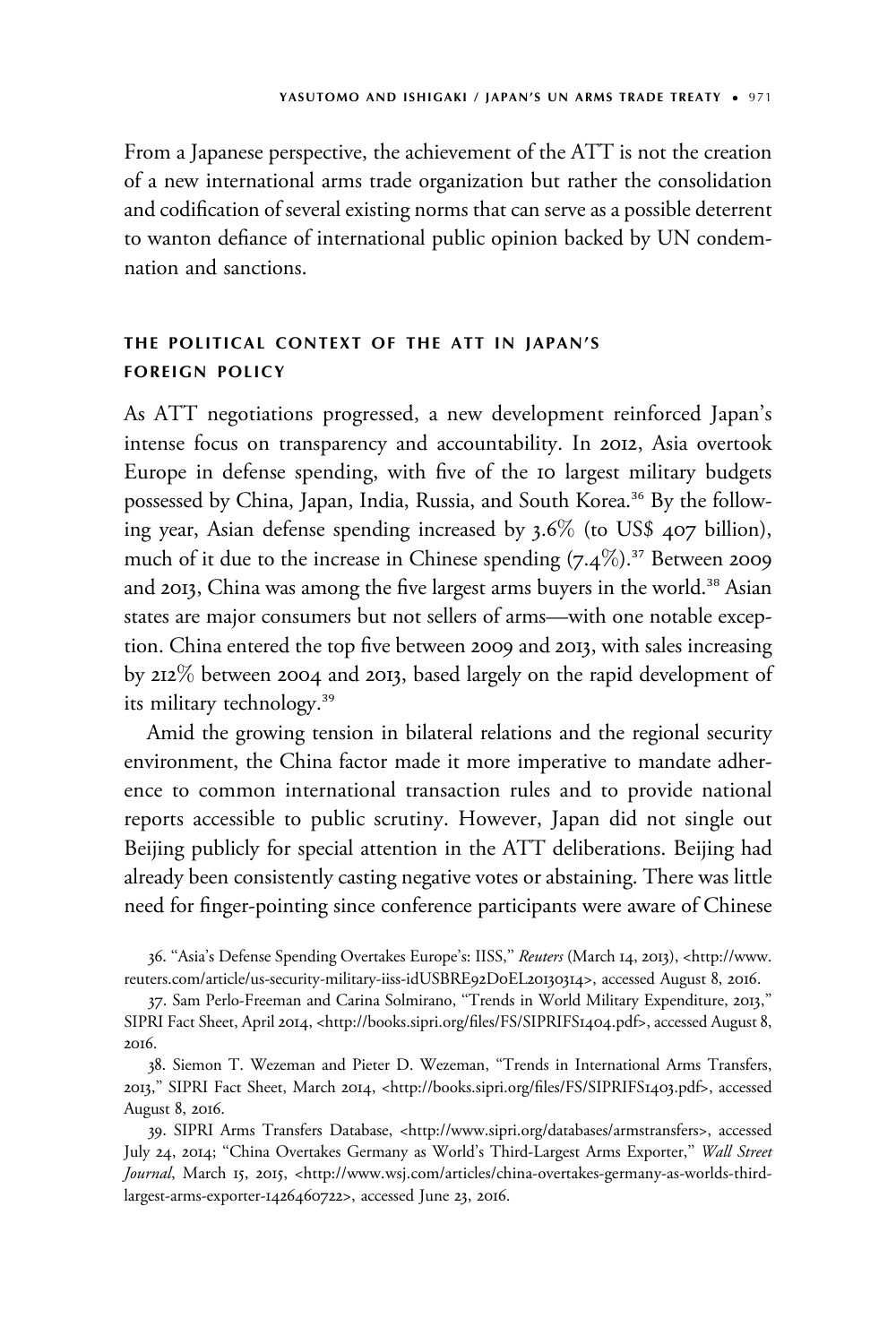From a Japanese perspective, the achievement of the ATT is not the creation of a new international arms trade organization but rather the consolidation and codification of several existing norms that can serve as a possible deterrent to wanton defiance of international public opinion backed by UN condemnation and sanctions.

## THE POLITICAL CONTEXT OF THE ATT IN JAPAN'S FOREIGN POLICY

As ATT negotiations progressed, a new development reinforced Japan's intense focus on transparency and accountability. In 2012, Asia overtook Europe in defense spending, with five of the 10 largest military budgets possessed by China, Japan, India, Russia, and South Korea.<sup>36</sup> By the following year, Asian defense spending increased by 3.6% (to US\$ 407 billion), much of it due to the increase in Chinese spending  $(7.4\%)$ .<sup>37</sup> Between 2009 and 2013, China was among the five largest arms buyers in the world.<sup>38</sup> Asian states are major consumers but not sellers of arms—with one notable exception. China entered the top five between 2009 and 2013, with sales increasing by 212% between 2004 and 2013, based largely on the rapid development of its military technology.<sup>39</sup>

Amid the growing tension in bilateral relations and the regional security environment, the China factor made it more imperative to mandate adherence to common international transaction rules and to provide national reports accessible to public scrutiny. However, Japan did not single out Beijing publicly for special attention in the ATT deliberations. Beijing had already been consistently casting negative votes or abstaining. There was little need for finger-pointing since conference participants were aware of Chinese

36. ''Asia's Defense Spending Overtakes Europe's: IISS,'' Reuters (March 14, 2013), [<http://www.](http://www.reuters.com/article/us-security-military-iiss-idUSBRE92D0EL20130314) [reuters.com/article/us-security-military-iiss-idUSBRE](http://www.reuters.com/article/us-security-military-iiss-idUSBRE92D0EL20130314)92D0EL20130314>, accessed August 8, 2016.

37. Sam Perlo-Freeman and Carina Solmirano, ''Trends in World Military Expenditure, 2013,'' SIPRI Fact Sheet, April 2014, <[http://books.sipri.org/files/FS/SIPRIFS](http://books.sipri.org/files/FS/SIPRIFS1404.pdf)1404.pdf>, accessed August 8, 2016.

38. Siemon T. Wezeman and Pieter D. Wezeman, ''Trends in International Arms Transfers, 2013,'' SIPRI Fact Sheet, March 2014, [<http://books.sipri.org/files/FS/SIPRIFS](http://books.sipri.org/files/FS/SIPRIFS1403.pdf)1403.pdf>, accessed August 8, 2016.

39. SIPRI Arms Transfers Database, <[http://www.sipri.org/databases/armstransfers>](http://www.sipri.org/databases/armstransfers), accessed July 24, 2014; "China Overtakes Germany as World's Third-Largest Arms Exporter," Wall Street Journal, March 15, 2015, [<http://www.wsj.com/articles/china-overtakes-germany-as-worlds-third](http://www.wsj.com/articles/china-overtakes-germany-as-worlds-third-largest-arms-exporter-1426460722)[largest-arms-exporter-](http://www.wsj.com/articles/china-overtakes-germany-as-worlds-third-largest-arms-exporter-1426460722)1426460722>, accessed June 23, 2016.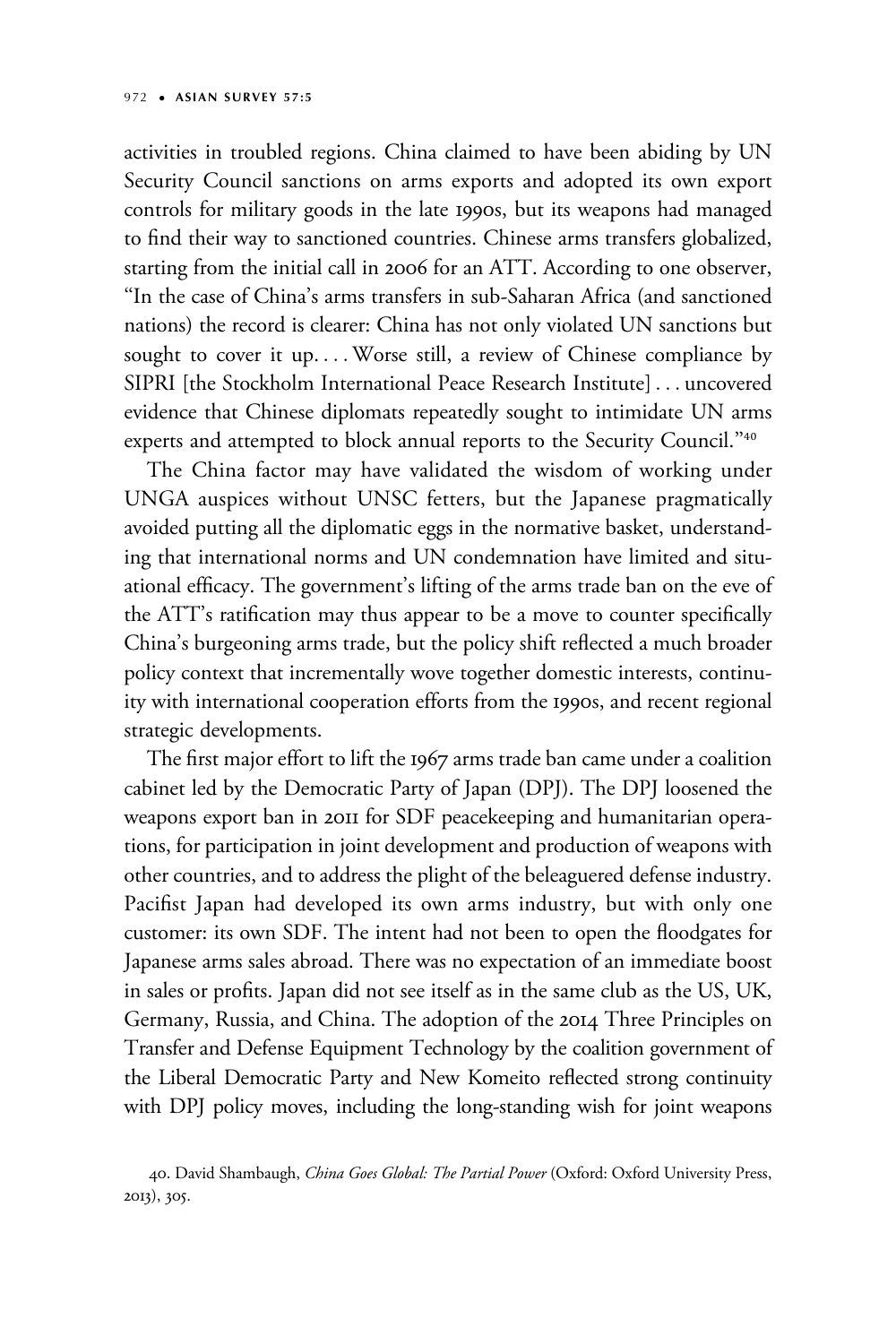activities in troubled regions. China claimed to have been abiding by UN Security Council sanctions on arms exports and adopted its own export controls for military goods in the late 1990s, but its weapons had managed to find their way to sanctioned countries. Chinese arms transfers globalized, starting from the initial call in 2006 for an ATT. According to one observer, ''In the case of China's arms transfers in sub-Saharan Africa (and sanctioned nations) the record is clearer: China has not only violated UN sanctions but sought to cover it up. ... Worse still, a review of Chinese compliance by SIPRI [the Stockholm International Peace Research Institute] ... uncovered evidence that Chinese diplomats repeatedly sought to intimidate UN arms experts and attempted to block annual reports to the Security Council."<sup>40</sup>

The China factor may have validated the wisdom of working under UNGA auspices without UNSC fetters, but the Japanese pragmatically avoided putting all the diplomatic eggs in the normative basket, understanding that international norms and UN condemnation have limited and situational efficacy. The government's lifting of the arms trade ban on the eve of the ATT's ratification may thus appear to be a move to counter specifically China's burgeoning arms trade, but the policy shift reflected a much broader policy context that incrementally wove together domestic interests, continuity with international cooperation efforts from the 1990s, and recent regional strategic developments.

The first major effort to lift the 1967 arms trade ban came under a coalition cabinet led by the Democratic Party of Japan (DPJ). The DPJ loosened the weapons export ban in 2011 for SDF peacekeeping and humanitarian operations, for participation in joint development and production of weapons with other countries, and to address the plight of the beleaguered defense industry. Pacifist Japan had developed its own arms industry, but with only one customer: its own SDF. The intent had not been to open the floodgates for Japanese arms sales abroad. There was no expectation of an immediate boost in sales or profits. Japan did not see itself as in the same club as the US, UK, Germany, Russia, and China. The adoption of the 2014 Three Principles on Transfer and Defense Equipment Technology by the coalition government of the Liberal Democratic Party and New Komeito reflected strong continuity with DPJ policy moves, including the long-standing wish for joint weapons

<sup>40.</sup> David Shambaugh, China Goes Global: The Partial Power (Oxford: Oxford University Press, 2013), 305.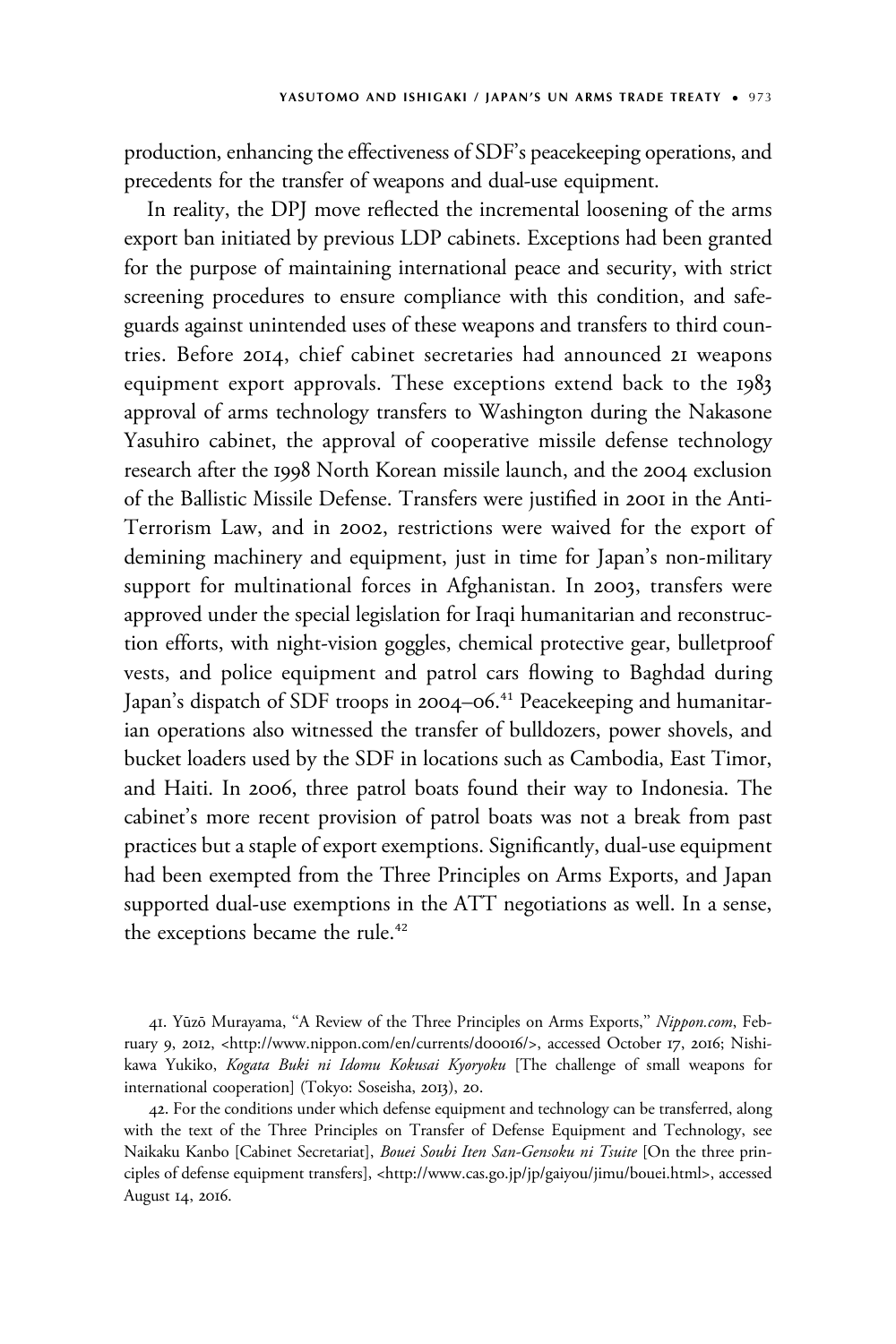production, enhancing the effectiveness of SDF's peacekeeping operations, and precedents for the transfer of weapons and dual-use equipment.

In reality, the DPJ move reflected the incremental loosening of the arms export ban initiated by previous LDP cabinets. Exceptions had been granted for the purpose of maintaining international peace and security, with strict screening procedures to ensure compliance with this condition, and safeguards against unintended uses of these weapons and transfers to third countries. Before 2014, chief cabinet secretaries had announced 21 weapons equipment export approvals. These exceptions extend back to the 1983 approval of arms technology transfers to Washington during the Nakasone Yasuhiro cabinet, the approval of cooperative missile defense technology research after the 1998 North Korean missile launch, and the 2004 exclusion of the Ballistic Missile Defense. Transfers were justified in 2001 in the Anti-Terrorism Law, and in 2002, restrictions were waived for the export of demining machinery and equipment, just in time for Japan's non-military support for multinational forces in Afghanistan. In 2003, transfers were approved under the special legislation for Iraqi humanitarian and reconstruction efforts, with night-vision goggles, chemical protective gear, bulletproof vests, and police equipment and patrol cars flowing to Baghdad during Japan's dispatch of SDF troops in 2004–06. <sup>41</sup> Peacekeeping and humanitarian operations also witnessed the transfer of bulldozers, power shovels, and bucket loaders used by the SDF in locations such as Cambodia, East Timor, and Haiti. In 2006, three patrol boats found their way to Indonesia. The cabinet's more recent provision of patrol boats was not a break from past practices but a staple of export exemptions. Significantly, dual-use equipment had been exempted from the Three Principles on Arms Exports, and Japan supported dual-use exemptions in the ATT negotiations as well. In a sense, the exceptions became the rule.<sup>42</sup>

41. Yūzō Murayama, "A Review of the Three Principles on Arms Exports," Nippon.com, February 9, 2012, <[http://www.nippon.com/en/currents/d](http://www.nippon.com/en/currents/d00016/>,)00016/>, accessed October 17, 2016; Nishikawa Yukiko, Kogata Buki ni Idomu Kokusai Kyoryoku [The challenge of small weapons for international cooperation] (Tokyo: Soseisha, 2013), 20.

42. For the conditions under which defense equipment and technology can be transferred, along with the text of the Three Principles on Transfer of Defense Equipment and Technology, see Naikaku Kanbo [Cabinet Secretariat], Bouei Soubi Iten San-Gensoku ni Tsuite [On the three principles of defense equipment transfers], <<http://www.cas.go.jp/jp/gaiyou/jimu/bouei.html>>, accessed August 14, 2016.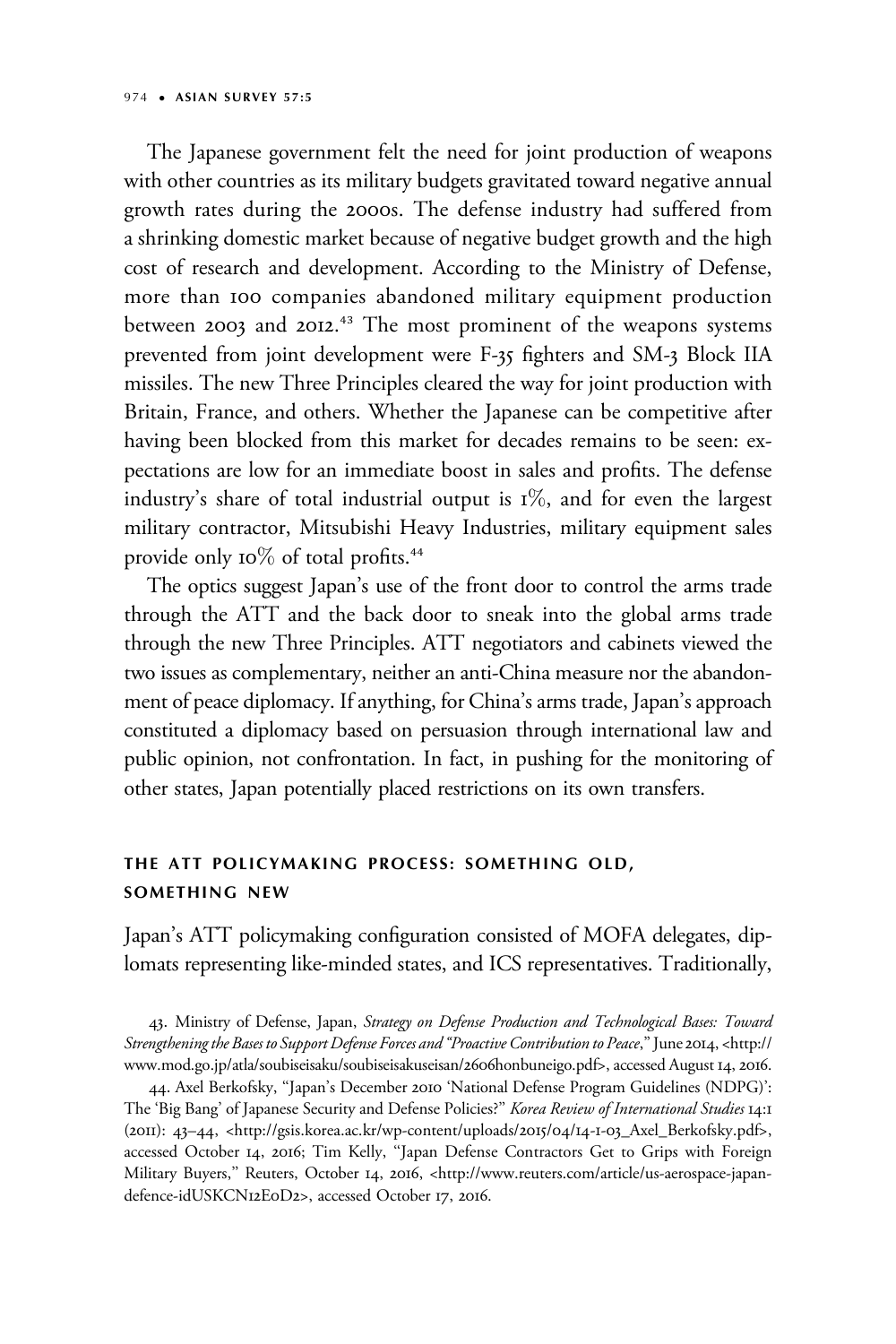The Japanese government felt the need for joint production of weapons with other countries as its military budgets gravitated toward negative annual growth rates during the 2000s. The defense industry had suffered from a shrinking domestic market because of negative budget growth and the high cost of research and development. According to the Ministry of Defense, more than 100 companies abandoned military equipment production between 2003 and 2012. <sup>43</sup> The most prominent of the weapons systems prevented from joint development were F-35 fighters and SM-3 Block IIA missiles. The new Three Principles cleared the way for joint production with Britain, France, and others. Whether the Japanese can be competitive after having been blocked from this market for decades remains to be seen: expectations are low for an immediate boost in sales and profits. The defense industry's share of total industrial output is 1%, and for even the largest military contractor, Mitsubishi Heavy Industries, military equipment sales provide only  $10\%$  of total profits.<sup>44</sup>

The optics suggest Japan's use of the front door to control the arms trade through the ATT and the back door to sneak into the global arms trade through the new Three Principles. ATT negotiators and cabinets viewed the two issues as complementary, neither an anti-China measure nor the abandonment of peace diplomacy. If anything, for China's arms trade, Japan's approach constituted a diplomacy based on persuasion through international law and public opinion, not confrontation. In fact, in pushing for the monitoring of other states, Japan potentially placed restrictions on its own transfers.

## THE ATT POLICYMAKING PROCESS: SOMETHING OLD, SOMETHING NEW

Japan's ATT policymaking configuration consisted of MOFA delegates, diplomats representing like-minded states, and ICS representatives. Traditionally,

43. Ministry of Defense, Japan, Strategy on Defense Production and Technological Bases: Toward Strengthening the Bases to Support Defense Forces and ''Proactive Contribution to Peace,'' June 2014, [<http://](http://www.mod.go.jp/atla/soubiseisaku/soubiseisakuseisan/2606honbuneigo.pdf) [www.mod.go.jp/atla/soubiseisaku/soubiseisakuseisan/](http://www.mod.go.jp/atla/soubiseisaku/soubiseisakuseisan/2606honbuneigo.pdf)2606honbuneigo.pdf>, accessed August 14, 2016.

44. Axel Berkofsky, ''Japan's December 2010 'National Defense Program Guidelines (NDPG)': The 'Big Bang' of Japanese Security and Defense Policies?" Korea Review of International Studies 14:1 (2011): 43–44, <[http://gsis.korea.ac.kr/wp-content/uploads/](http://gsis.korea.ac.kr/wp-content/uploads/2015/04/14-1-03_Axel_Berkofsky.pdf)2015/04/14-1-03\_Axel\_Berkofsky.pdf>, accessed October 14, 2016; Tim Kelly, ''Japan Defense Contractors Get to Grips with Foreign Military Buyers,'' Reuters, October 14, 2016, [<http://www.reuters.com/article/us-aerospace-japan](http://www.reuters.com/article/us-aerospace-japan-defence-idUSKCN12E0D2)[defence-idUSKCN](http://www.reuters.com/article/us-aerospace-japan-defence-idUSKCN12E0D2)12E0D2>, accessed October 17, 2016.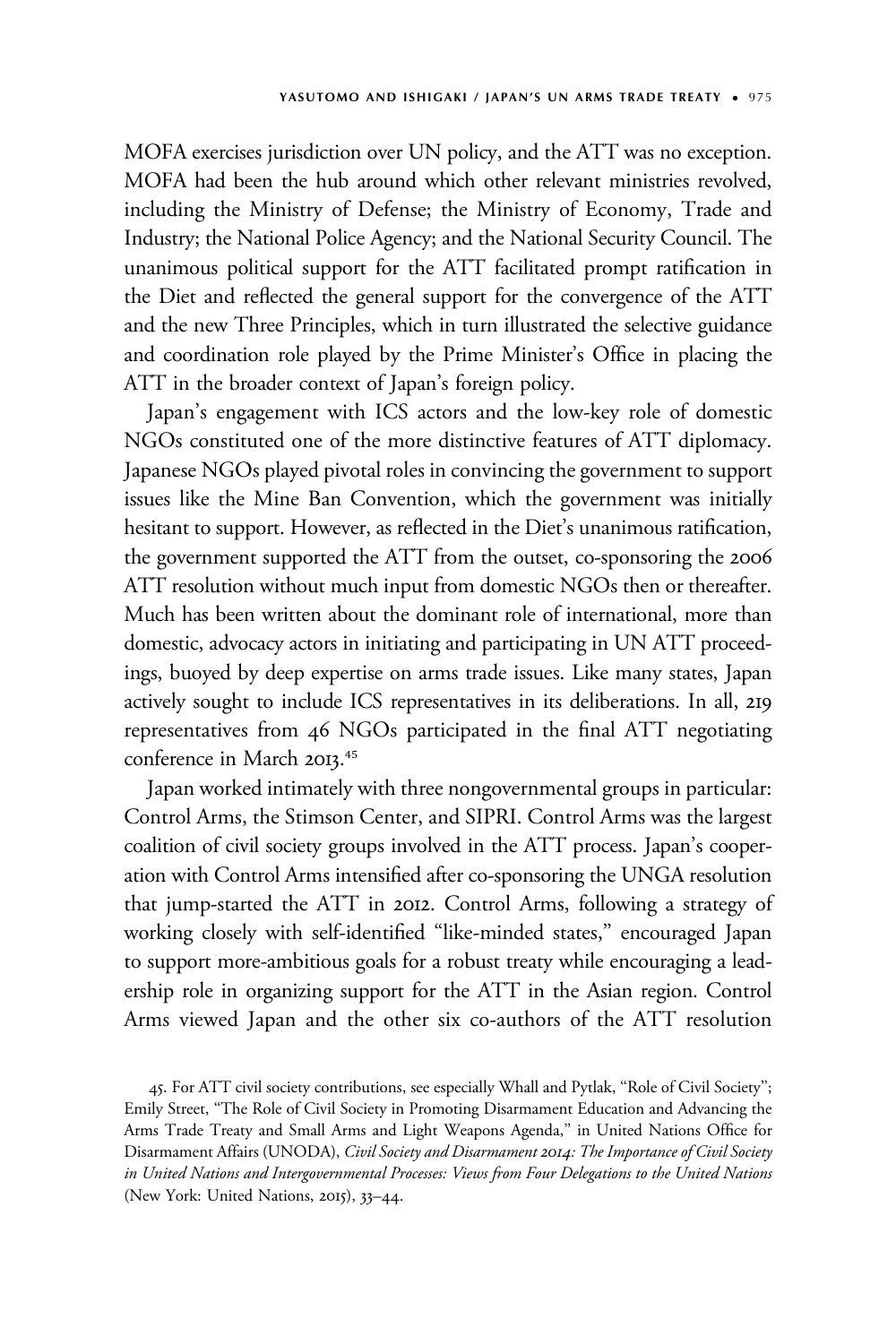MOFA exercises jurisdiction over UN policy, and the ATT was no exception. MOFA had been the hub around which other relevant ministries revolved, including the Ministry of Defense; the Ministry of Economy, Trade and Industry; the National Police Agency; and the National Security Council. The unanimous political support for the ATT facilitated prompt ratification in the Diet and reflected the general support for the convergence of the ATT and the new Three Principles, which in turn illustrated the selective guidance and coordination role played by the Prime Minister's Office in placing the ATT in the broader context of Japan's foreign policy.

Japan's engagement with ICS actors and the low-key role of domestic NGOs constituted one of the more distinctive features of ATT diplomacy. Japanese NGOs played pivotal roles in convincing the government to support issues like the Mine Ban Convention, which the government was initially hesitant to support. However, as reflected in the Diet's unanimous ratification, the government supported the ATT from the outset, co-sponsoring the 2006 ATT resolution without much input from domestic NGOs then or thereafter. Much has been written about the dominant role of international, more than domestic, advocacy actors in initiating and participating in UN ATT proceedings, buoyed by deep expertise on arms trade issues. Like many states, Japan actively sought to include ICS representatives in its deliberations. In all, 219 representatives from 46 NGOs participated in the final ATT negotiating conference in March 2013. 45

Japan worked intimately with three nongovernmental groups in particular: Control Arms, the Stimson Center, and SIPRI. Control Arms was the largest coalition of civil society groups involved in the ATT process. Japan's cooperation with Control Arms intensified after co-sponsoring the UNGA resolution that jump-started the ATT in 2012. Control Arms, following a strategy of working closely with self-identified "like-minded states," encouraged Japan to support more-ambitious goals for a robust treaty while encouraging a leadership role in organizing support for the ATT in the Asian region. Control Arms viewed Japan and the other six co-authors of the ATT resolution

45. For ATT civil society contributions, see especially Whall and Pytlak, ''Role of Civil Society''; Emily Street, "The Role of Civil Society in Promoting Disarmament Education and Advancing the Arms Trade Treaty and Small Arms and Light Weapons Agenda,'' in United Nations Office for Disarmament Affairs (UNODA), Civil Society and Disarmament 2014: The Importance of Civil Society in United Nations and Intergovernmental Processes: Views from Four Delegations to the United Nations (New York: United Nations, 2015), 33–44.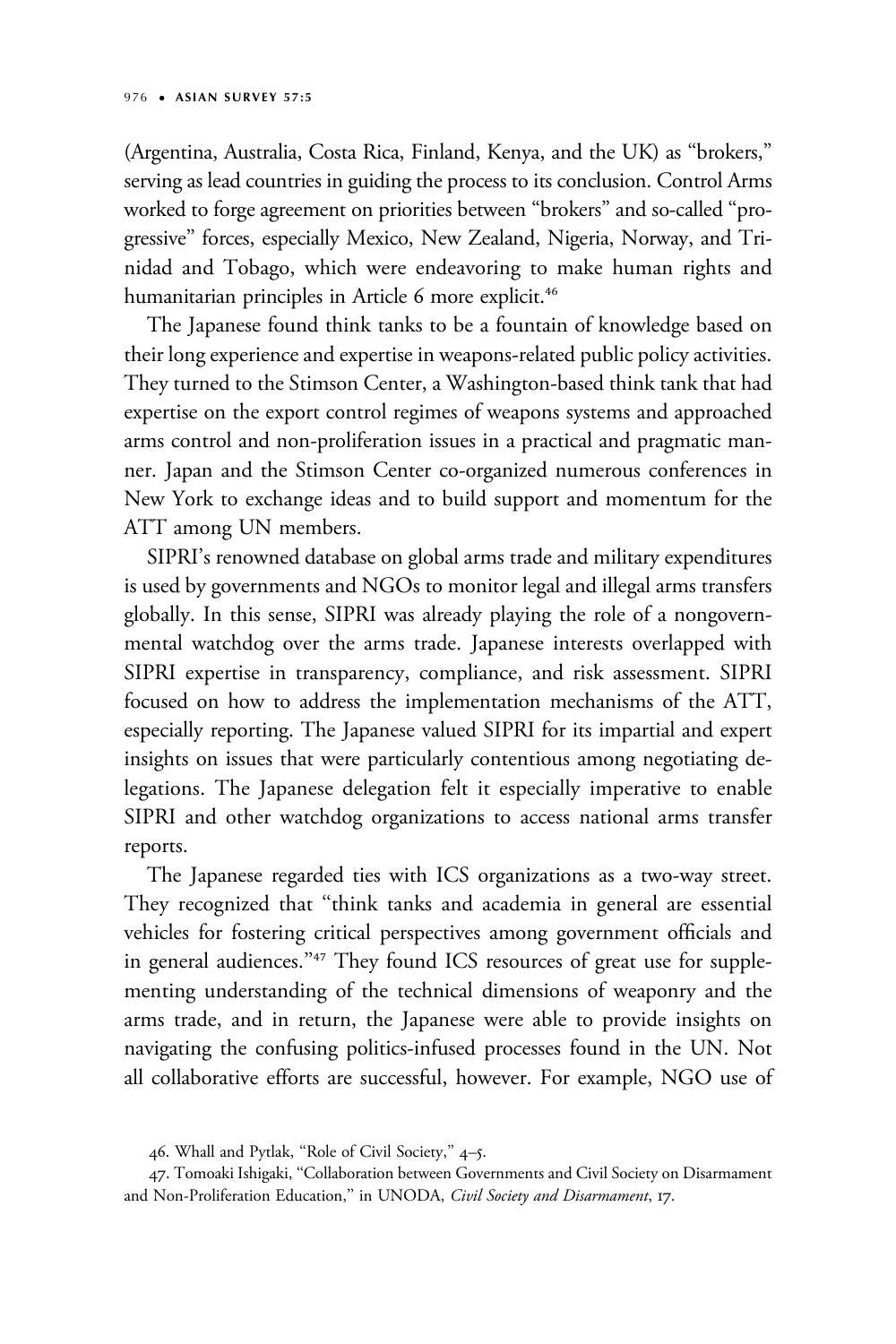(Argentina, Australia, Costa Rica, Finland, Kenya, and the UK) as ''brokers,'' serving as lead countries in guiding the process to its conclusion. Control Arms worked to forge agreement on priorities between ''brokers'' and so-called ''progressive'' forces, especially Mexico, New Zealand, Nigeria, Norway, and Trinidad and Tobago, which were endeavoring to make human rights and humanitarian principles in Article 6 more explicit.<sup>46</sup>

The Japanese found think tanks to be a fountain of knowledge based on their long experience and expertise in weapons-related public policy activities. They turned to the Stimson Center, a Washington-based think tank that had expertise on the export control regimes of weapons systems and approached arms control and non-proliferation issues in a practical and pragmatic manner. Japan and the Stimson Center co-organized numerous conferences in New York to exchange ideas and to build support and momentum for the ATT among UN members.

SIPRI's renowned database on global arms trade and military expenditures is used by governments and NGOs to monitor legal and illegal arms transfers globally. In this sense, SIPRI was already playing the role of a nongovernmental watchdog over the arms trade. Japanese interests overlapped with SIPRI expertise in transparency, compliance, and risk assessment. SIPRI focused on how to address the implementation mechanisms of the ATT, especially reporting. The Japanese valued SIPRI for its impartial and expert insights on issues that were particularly contentious among negotiating delegations. The Japanese delegation felt it especially imperative to enable SIPRI and other watchdog organizations to access national arms transfer reports.

The Japanese regarded ties with ICS organizations as a two-way street. They recognized that ''think tanks and academia in general are essential vehicles for fostering critical perspectives among government officials and in general audiences."<sup>47</sup> They found ICS resources of great use for supplementing understanding of the technical dimensions of weaponry and the arms trade, and in return, the Japanese were able to provide insights on navigating the confusing politics-infused processes found in the UN. Not all collaborative efforts are successful, however. For example, NGO use of

<sup>46.</sup> Whall and Pytlak, ''Role of Civil Society,'' 4–5.

<sup>47.</sup> Tomoaki Ishigaki, ''Collaboration between Governments and Civil Society on Disarmament and Non-Proliferation Education," in UNODA, Civil Society and Disarmament, 17.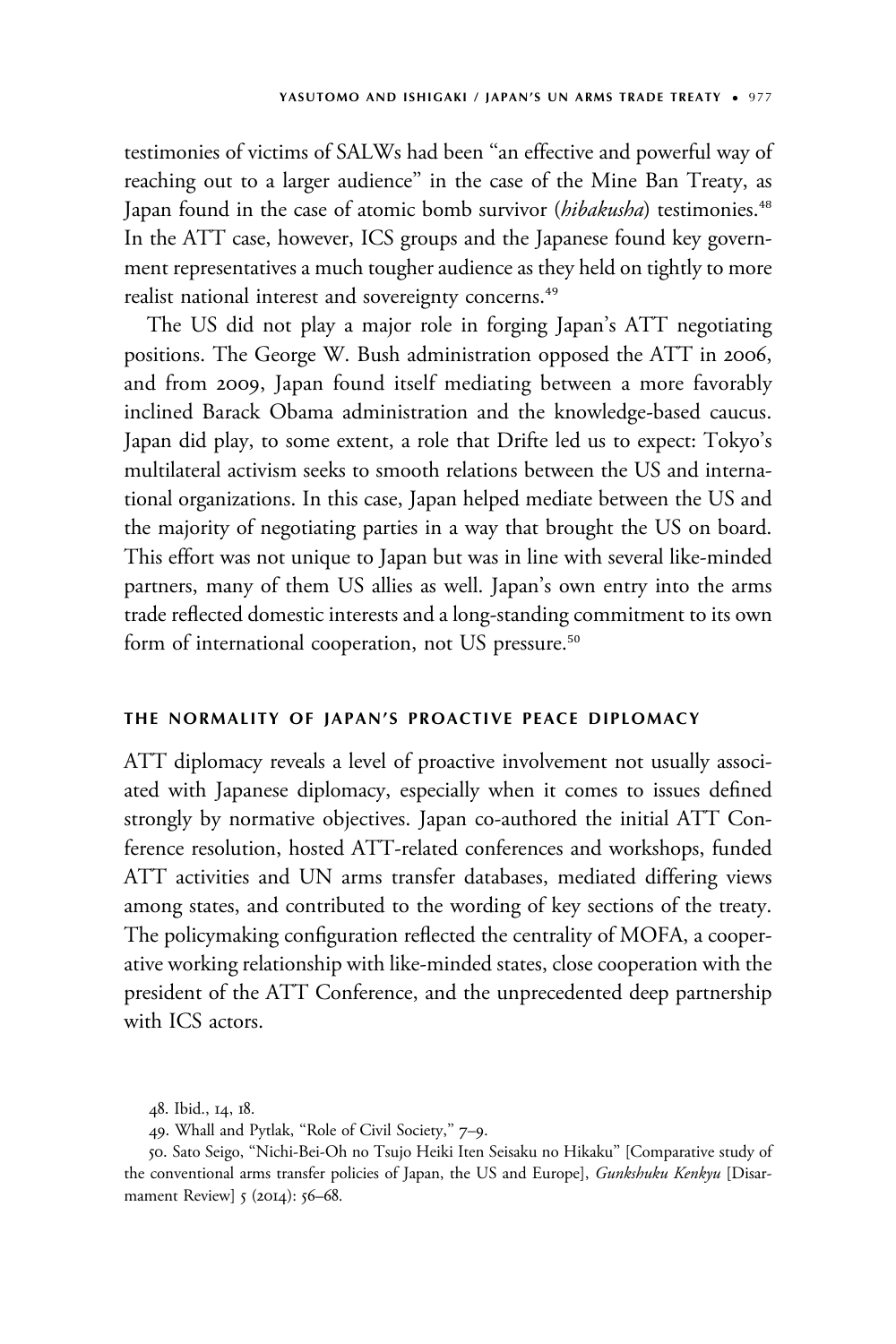testimonies of victims of SALWs had been ''an effective and powerful way of reaching out to a larger audience'' in the case of the Mine Ban Treaty, as Japan found in the case of atomic bomb survivor (hibakusha) testimonies.<sup>48</sup> In the ATT case, however, ICS groups and the Japanese found key government representatives a much tougher audience as they held on tightly to more realist national interest and sovereignty concerns.<sup>49</sup>

The US did not play a major role in forging Japan's ATT negotiating positions. The George W. Bush administration opposed the ATT in 2006, and from 2009, Japan found itself mediating between a more favorably inclined Barack Obama administration and the knowledge-based caucus. Japan did play, to some extent, a role that Drifte led us to expect: Tokyo's multilateral activism seeks to smooth relations between the US and international organizations. In this case, Japan helped mediate between the US and the majority of negotiating parties in a way that brought the US on board. This effort was not unique to Japan but was in line with several like-minded partners, many of them US allies as well. Japan's own entry into the arms trade reflected domestic interests and a long-standing commitment to its own form of international cooperation, not US pressure.<sup>50</sup>

#### THE NORMALITY OF JAPAN'S PROACTIVE PEACE DIPLOMACY

ATT diplomacy reveals a level of proactive involvement not usually associated with Japanese diplomacy, especially when it comes to issues defined strongly by normative objectives. Japan co-authored the initial ATT Conference resolution, hosted ATT-related conferences and workshops, funded ATT activities and UN arms transfer databases, mediated differing views among states, and contributed to the wording of key sections of the treaty. The policymaking configuration reflected the centrality of MOFA, a cooperative working relationship with like-minded states, close cooperation with the president of the ATT Conference, and the unprecedented deep partnership with ICS actors.

<sup>48.</sup> Ibid., 14, 18.

<sup>49.</sup> Whall and Pytlak, ''Role of Civil Society,'' 7–9.

<sup>50.</sup> Sato Seigo, ''Nichi-Bei-Oh no Tsujo Heiki Iten Seisaku no Hikaku'' [Comparative study of the conventional arms transfer policies of Japan, the US and Europe], Gunkshuku Kenkyu [Disarmament Review] 5 (2014): 56–68.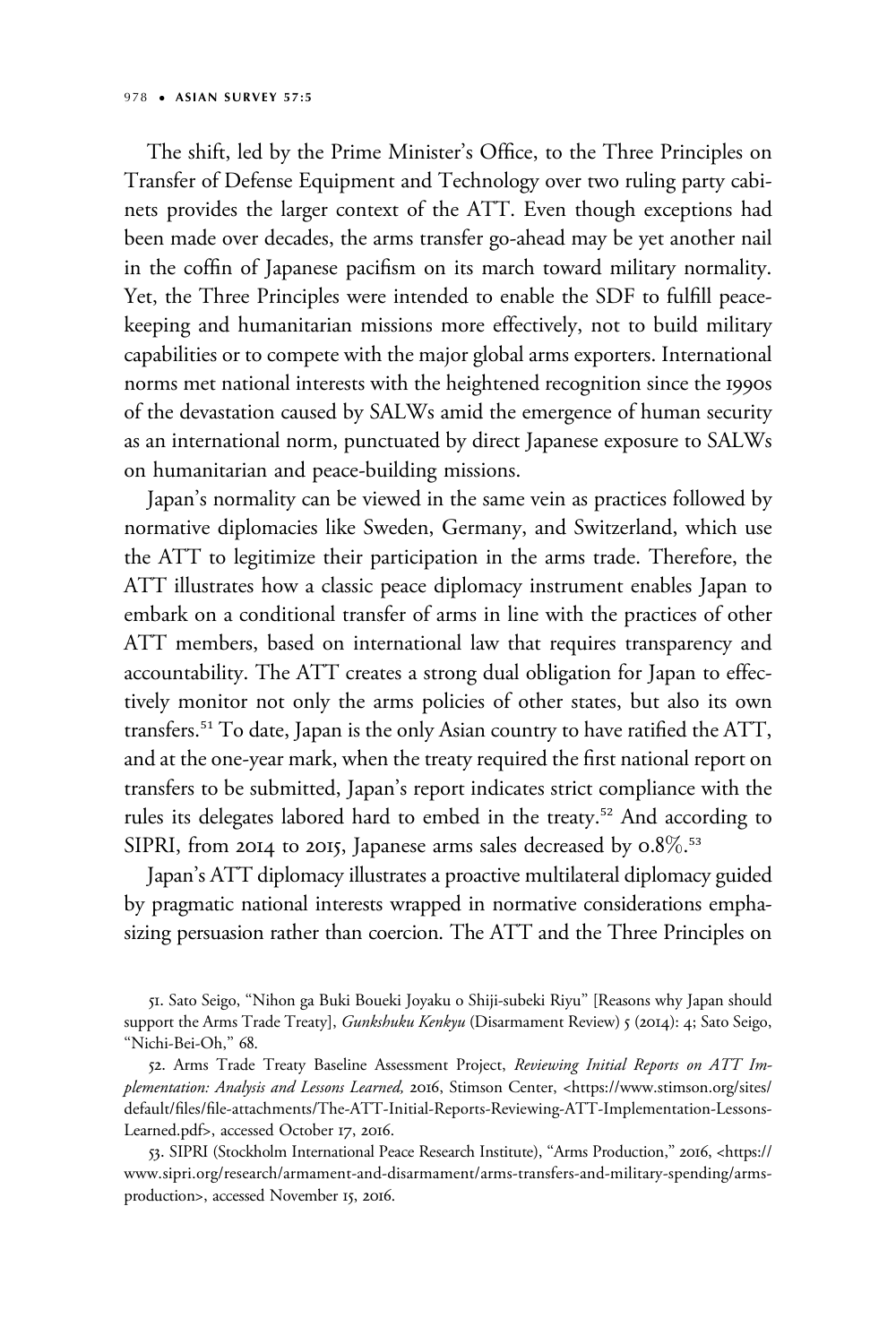The shift, led by the Prime Minister's Office, to the Three Principles on Transfer of Defense Equipment and Technology over two ruling party cabinets provides the larger context of the ATT. Even though exceptions had been made over decades, the arms transfer go-ahead may be yet another nail in the coffin of Japanese pacifism on its march toward military normality. Yet, the Three Principles were intended to enable the SDF to fulfill peacekeeping and humanitarian missions more effectively, not to build military capabilities or to compete with the major global arms exporters. International norms met national interests with the heightened recognition since the 1990s of the devastation caused by SALWs amid the emergence of human security as an international norm, punctuated by direct Japanese exposure to SALWs on humanitarian and peace-building missions.

Japan's normality can be viewed in the same vein as practices followed by normative diplomacies like Sweden, Germany, and Switzerland, which use the ATT to legitimize their participation in the arms trade. Therefore, the ATT illustrates how a classic peace diplomacy instrument enables Japan to embark on a conditional transfer of arms in line with the practices of other ATT members, based on international law that requires transparency and accountability. The ATT creates a strong dual obligation for Japan to effectively monitor not only the arms policies of other states, but also its own transfers.<sup>51</sup> To date, Japan is the only Asian country to have ratified the ATT, and at the one-year mark, when the treaty required the first national report on transfers to be submitted, Japan's report indicates strict compliance with the rules its delegates labored hard to embed in the treaty.<sup>52</sup> And according to SIPRI, from 2014 to 2015, Japanese arms sales decreased by 0.8%.<sup>53</sup>

Japan's ATT diplomacy illustrates a proactive multilateral diplomacy guided by pragmatic national interests wrapped in normative considerations emphasizing persuasion rather than coercion. The ATT and the Three Principles on

51. Sato Seigo, ''Nihon ga Buki Boueki Joyaku o Shiji-subeki Riyu'' [Reasons why Japan should support the Arms Trade Treaty], Gunkshuku Kenkyu (Disarmament Review) 5 (2014): 4; Sato Seigo, ''Nichi-Bei-Oh,'' 68.

52. Arms Trade Treaty Baseline Assessment Project, Reviewing Initial Reports on ATT Implementation: Analysis and Lessons Learned, 2016, Stimson Center, <[https://www.stimson.org/sites/](https://www.stimson.org/sites/default/files/file-attachments/The-ATT-Initial-Reports-Reviewing-ATT-Implementation-Lessons-Learned.pdf) [default/files/file-attachments/The-ATT-Initial-Reports-Reviewing-ATT-Implementation-Lessons-](https://www.stimson.org/sites/default/files/file-attachments/The-ATT-Initial-Reports-Reviewing-ATT-Implementation-Lessons-Learned.pdf)[Learned.pdf>](https://www.stimson.org/sites/default/files/file-attachments/The-ATT-Initial-Reports-Reviewing-ATT-Implementation-Lessons-Learned.pdf), accessed October 17, 2016.

53. SIPRI (Stockholm International Peace Research Institute), ''Arms Production,'' 2016, <[https://](https://www.sipri.org/research/armament-and-disarmament/arms-transfers-and-military-spending/arms-production) [www.sipri.org/research/armament-and-disarmament/arms-transfers-and-military-spending/arms](https://www.sipri.org/research/armament-and-disarmament/arms-transfers-and-military-spending/arms-production)[production>](https://www.sipri.org/research/armament-and-disarmament/arms-transfers-and-military-spending/arms-production), accessed November 15, 2016.